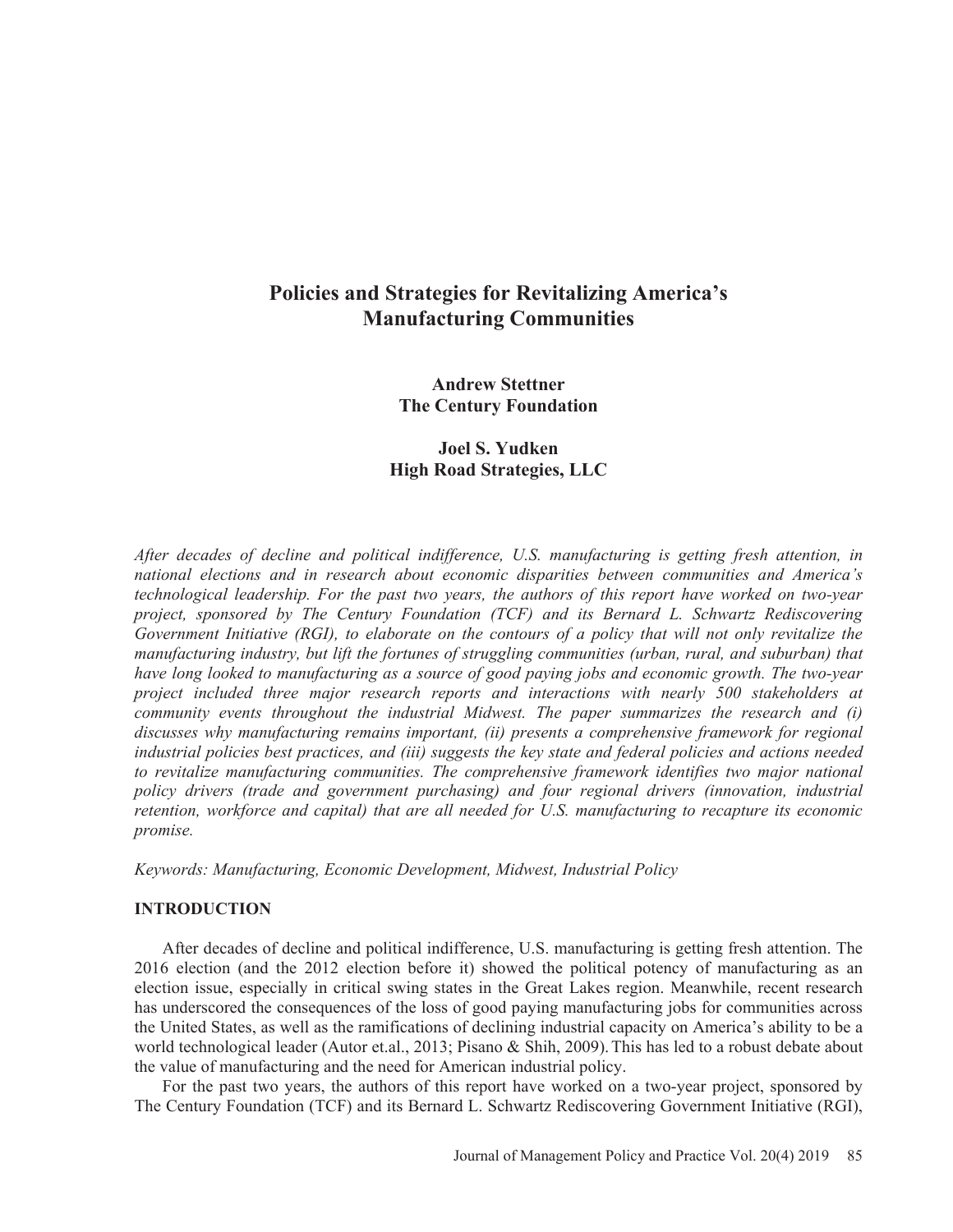# **Policies and Strategies for Revitalizing America's Manufacturing Communities**

**Andrew Stettner The Century Foundation** 

# **Joel S. Yudken High Road Strategies, LLC**

*After decades of decline and political indifference, U.S. manufacturing is getting fresh attention, in national elections and in research about economic disparities between communities and America's technological leadership. For the past two years, the authors of this report have worked on two-year project, sponsored by The Century Foundation (TCF) and its Bernard L. Schwartz Rediscovering Government Initiative (RGI), to elaborate on the contours of a policy that will not only revitalize the manufacturing industry, but lift the fortunes of struggling communities (urban, rural, and suburban) that have long looked to manufacturing as a source of good paying jobs and economic growth. The two-year project included three major research reports and interactions with nearly 500 stakeholders at community events throughout the industrial Midwest. The paper summarizes the research and (i) discusses why manufacturing remains important, (ii) presents a comprehensive framework for regional industrial policies best practices, and (iii) suggests the key state and federal policies and actions needed to revitalize manufacturing communities. The comprehensive framework identifies two major national policy drivers (trade and government purchasing) and four regional drivers (innovation, industrial retention, workforce and capital) that are all needed for U.S. manufacturing to recapture its economic promise.* 

*Keywords: Manufacturing, Economic Development, Midwest, Industrial Policy* 

# **INTRODUCTION**

After decades of decline and political indifference, U.S. manufacturing is getting fresh attention. The 2016 election (and the 2012 election before it) showed the political potency of manufacturing as an election issue, especially in critical swing states in the Great Lakes region. Meanwhile, recent research has underscored the consequences of the loss of good paying manufacturing jobs for communities across the United States, as well as the ramifications of declining industrial capacity on America's ability to be a world technological leader (Autor et.al., 2013; Pisano & Shih, 2009).This has led to a robust debate about the value of manufacturing and the need for American industrial policy.

For the past two years, the authors of this report have worked on a two-year project, sponsored by The Century Foundation (TCF) and its Bernard L. Schwartz Rediscovering Government Initiative (RGI),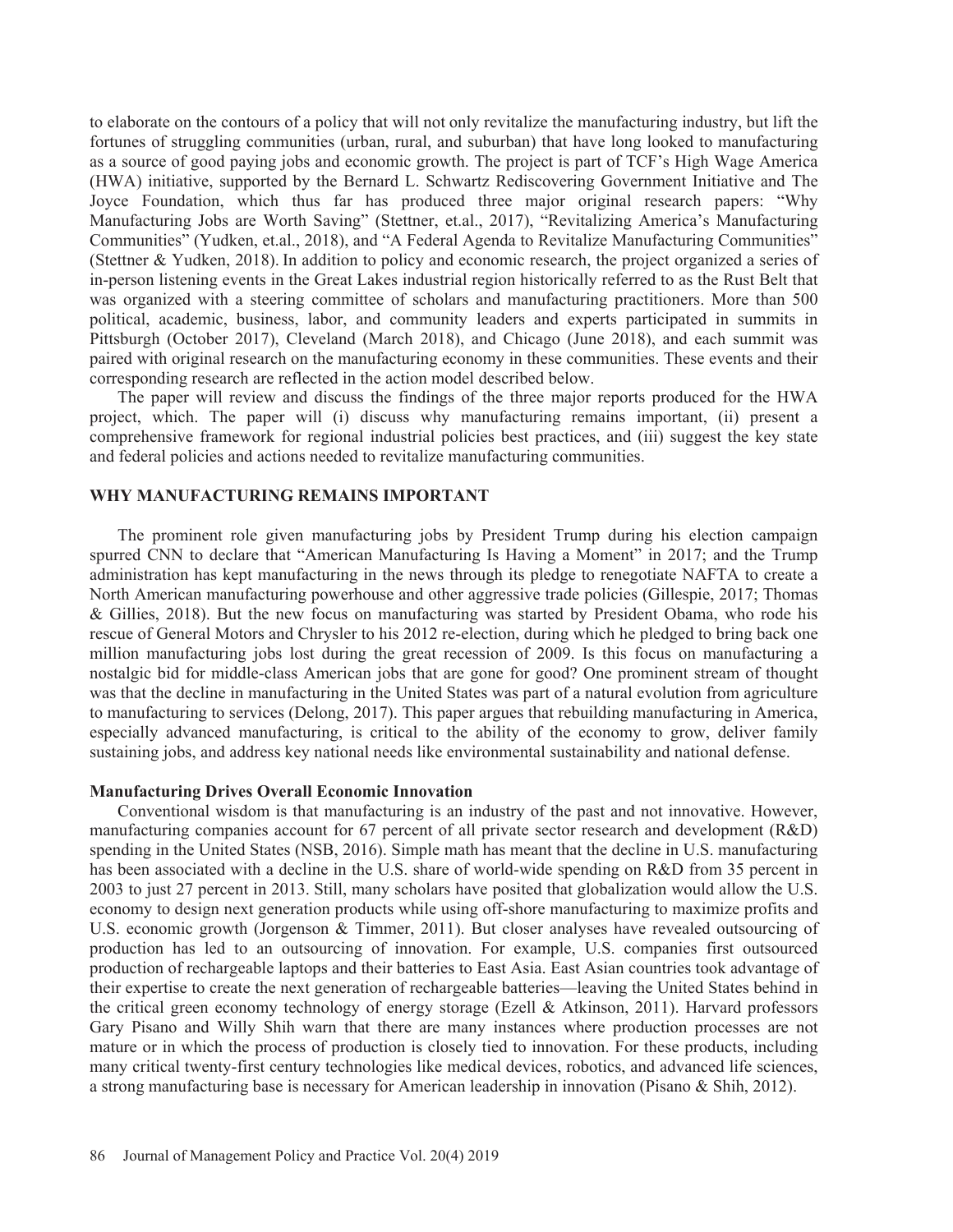to elaborate on the contours of a policy that will not only revitalize the manufacturing industry, but lift the fortunes of struggling communities (urban, rural, and suburban) that have long looked to manufacturing as a source of good paying jobs and economic growth. The project is part of TCF's High Wage America (HWA) initiative, supported by the Bernard L. Schwartz Rediscovering Government Initiative and The Joyce Foundation, which thus far has produced three major original research papers: "Why Manufacturing Jobs are Worth Saving" (Stettner, et.al., 2017), "Revitalizing America's Manufacturing Communities" (Yudken, et.al., 2018), and "A Federal Agenda to Revitalize Manufacturing Communities" (Stettner & Yudken, 2018). In addition to policy and economic research, the project organized a series of in-person listening events in the Great Lakes industrial region historically referred to as the Rust Belt that was organized with a steering committee of scholars and manufacturing practitioners. More than 500 political, academic, business, labor, and community leaders and experts participated in summits in Pittsburgh (October 2017), Cleveland (March 2018), and Chicago (June 2018), and each summit was paired with original research on the manufacturing economy in these communities. These events and their corresponding research are reflected in the action model described below.

The paper will review and discuss the findings of the three major reports produced for the HWA project, which. The paper will (i) discuss why manufacturing remains important, (ii) present a comprehensive framework for regional industrial policies best practices, and (iii) suggest the key state and federal policies and actions needed to revitalize manufacturing communities.

## **WHY MANUFACTURING REMAINS IMPORTANT**

The prominent role given manufacturing jobs by President Trump during his election campaign spurred CNN to declare that "American Manufacturing Is Having a Moment" in 2017; and the Trump administration has kept manufacturing in the news through its pledge to renegotiate NAFTA to create a North American manufacturing powerhouse and other aggressive trade policies (Gillespie, 2017; Thomas & Gillies, 2018). But the new focus on manufacturing was started by President Obama, who rode his rescue of General Motors and Chrysler to his 2012 re-election, during which he pledged to bring back one million manufacturing jobs lost during the great recession of 2009. Is this focus on manufacturing a nostalgic bid for middle-class American jobs that are gone for good? One prominent stream of thought was that the decline in manufacturing in the United States was part of a natural evolution from agriculture to manufacturing to services (Delong, 2017). This paper argues that rebuilding manufacturing in America, especially advanced manufacturing, is critical to the ability of the economy to grow, deliver family sustaining jobs, and address key national needs like environmental sustainability and national defense.

#### **Manufacturing Drives Overall Economic Innovation**

Conventional wisdom is that manufacturing is an industry of the past and not innovative. However, manufacturing companies account for 67 percent of all private sector research and development (R&D) spending in the United States (NSB, 2016). Simple math has meant that the decline in U.S. manufacturing has been associated with a decline in the U.S. share of world-wide spending on R&D from 35 percent in 2003 to just 27 percent in 2013. Still, many scholars have posited that globalization would allow the U.S. economy to design next generation products while using off-shore manufacturing to maximize profits and U.S. economic growth (Jorgenson & Timmer, 2011). But closer analyses have revealed outsourcing of production has led to an outsourcing of innovation. For example, U.S. companies first outsourced production of rechargeable laptops and their batteries to East Asia. East Asian countries took advantage of their expertise to create the next generation of rechargeable batteries—leaving the United States behind in the critical green economy technology of energy storage (Ezell & Atkinson, 2011). Harvard professors Gary Pisano and Willy Shih warn that there are many instances where production processes are not mature or in which the process of production is closely tied to innovation. For these products, including many critical twenty-first century technologies like medical devices, robotics, and advanced life sciences, a strong manufacturing base is necessary for American leadership in innovation (Pisano & Shih, 2012).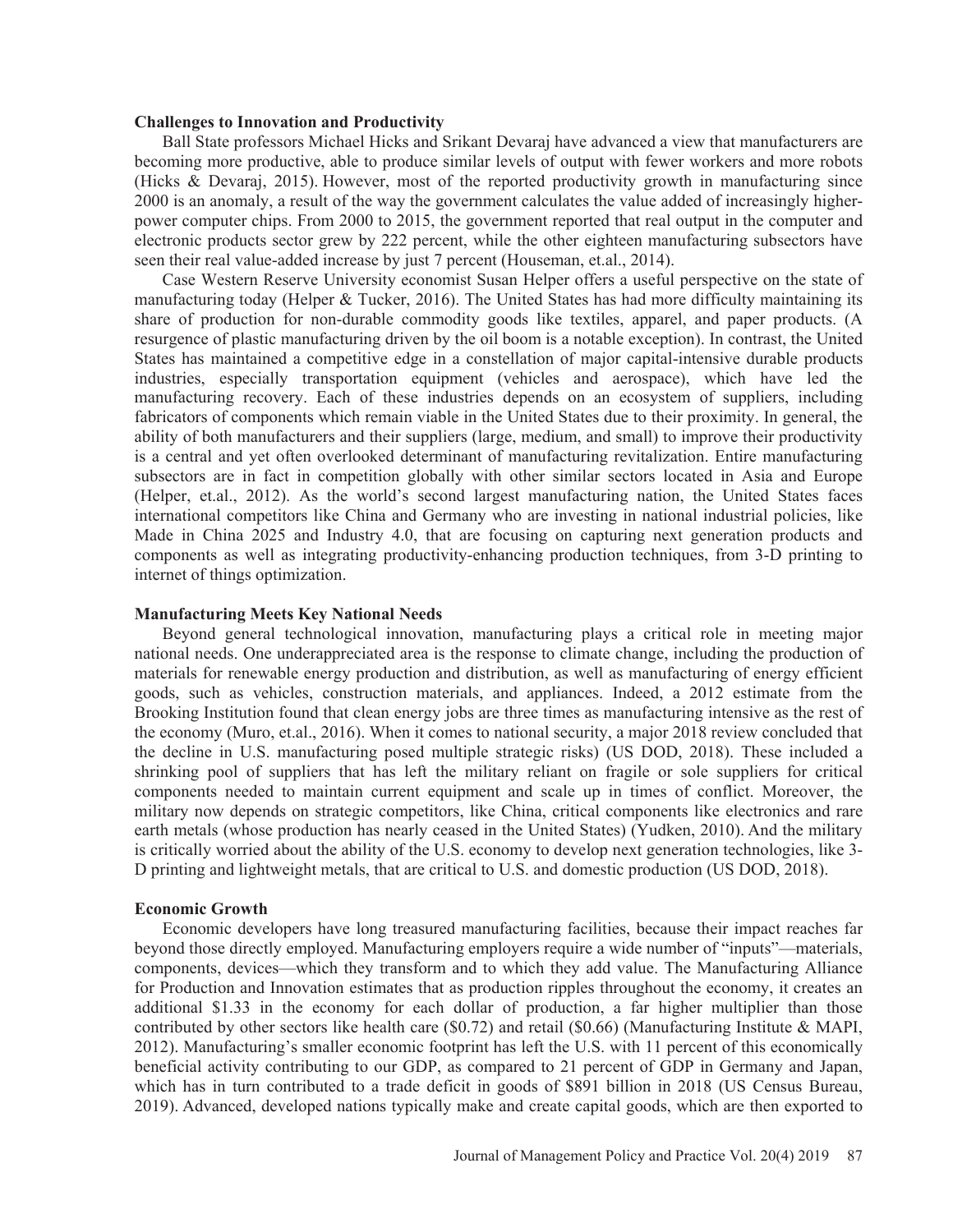#### **Challenges to Innovation and Productivity**

Ball State professors Michael Hicks and Srikant Devaraj have advanced a view that manufacturers are becoming more productive, able to produce similar levels of output with fewer workers and more robots (Hicks & Devaraj, 2015). However, most of the reported productivity growth in manufacturing since 2000 is an anomaly, a result of the way the government calculates the value added of increasingly higherpower computer chips. From 2000 to 2015, the government reported that real output in the computer and electronic products sector grew by 222 percent, while the other eighteen manufacturing subsectors have seen their real value-added increase by just 7 percent (Houseman, et.al., 2014).

Case Western Reserve University economist Susan Helper offers a useful perspective on the state of manufacturing today (Helper & Tucker, 2016). The United States has had more difficulty maintaining its share of production for non-durable commodity goods like textiles, apparel, and paper products. (A resurgence of plastic manufacturing driven by the oil boom is a notable exception). In contrast, the United States has maintained a competitive edge in a constellation of major capital-intensive durable products industries, especially transportation equipment (vehicles and aerospace), which have led the manufacturing recovery. Each of these industries depends on an ecosystem of suppliers, including fabricators of components which remain viable in the United States due to their proximity. In general, the ability of both manufacturers and their suppliers (large, medium, and small) to improve their productivity is a central and yet often overlooked determinant of manufacturing revitalization. Entire manufacturing subsectors are in fact in competition globally with other similar sectors located in Asia and Europe (Helper, et.al., 2012). As the world's second largest manufacturing nation, the United States faces international competitors like China and Germany who are investing in national industrial policies, like Made in China 2025 and Industry 4.0, that are focusing on capturing next generation products and components as well as integrating productivity-enhancing production techniques, from 3-D printing to internet of things optimization.

#### **Manufacturing Meets Key National Needs**

Beyond general technological innovation, manufacturing plays a critical role in meeting major national needs. One underappreciated area is the response to climate change, including the production of materials for renewable energy production and distribution, as well as manufacturing of energy efficient goods, such as vehicles, construction materials, and appliances. Indeed, a 2012 estimate from the Brooking Institution found that clean energy jobs are three times as manufacturing intensive as the rest of the economy (Muro, et.al., 2016). When it comes to national security, a major 2018 review concluded that the decline in U.S. manufacturing posed multiple strategic risks) (US DOD, 2018). These included a shrinking pool of suppliers that has left the military reliant on fragile or sole suppliers for critical components needed to maintain current equipment and scale up in times of conflict. Moreover, the military now depends on strategic competitors, like China, critical components like electronics and rare earth metals (whose production has nearly ceased in the United States) (Yudken, 2010). And the military is critically worried about the ability of the U.S. economy to develop next generation technologies, like 3- D printing and lightweight metals, that are critical to U.S. and domestic production (US DOD, 2018).

#### **Economic Growth**

Economic developers have long treasured manufacturing facilities, because their impact reaches far beyond those directly employed. Manufacturing employers require a wide number of "inputs"—materials, components, devices—which they transform and to which they add value. The Manufacturing Alliance for Production and Innovation estimates that as production ripples throughout the economy, it creates an additional \$1.33 in the economy for each dollar of production, a far higher multiplier than those contributed by other sectors like health care (\$0.72) and retail (\$0.66) (Manufacturing Institute & MAPI, 2012). Manufacturing's smaller economic footprint has left the U.S. with 11 percent of this economically beneficial activity contributing to our GDP, as compared to 21 percent of GDP in Germany and Japan, which has in turn contributed to a trade deficit in goods of \$891 billion in 2018 (US Census Bureau, 2019). Advanced, developed nations typically make and create capital goods, which are then exported to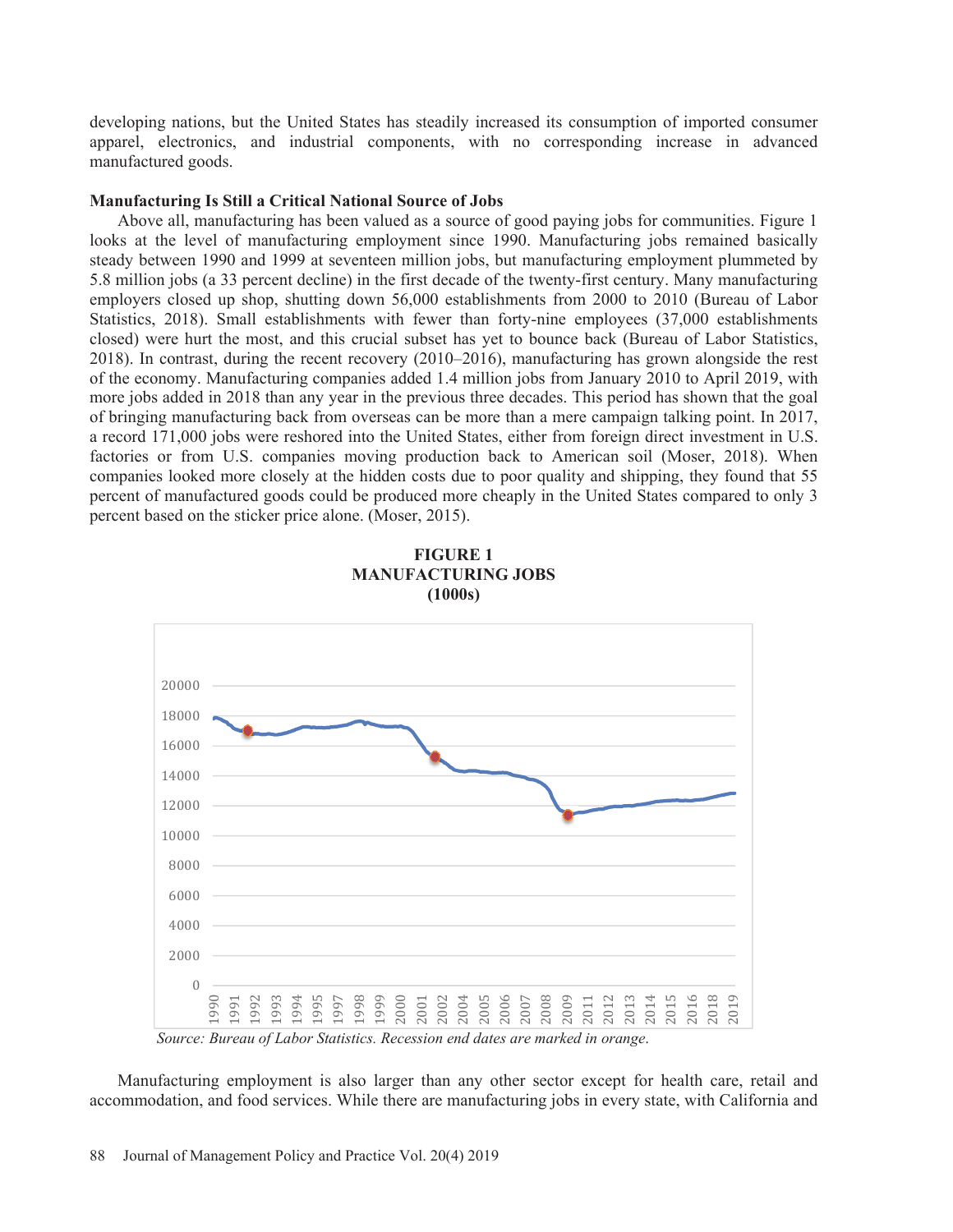developing nations, but the United States has steadily increased its consumption of imported consumer apparel, electronics, and industrial components, with no corresponding increase in advanced manufactured goods.

#### **Manufacturing Is Still a Critical National Source of Jobs**

Above all, manufacturing has been valued as a source of good paying jobs for communities. Figure 1 looks at the level of manufacturing employment since 1990. Manufacturing jobs remained basically steady between 1990 and 1999 at seventeen million jobs, but manufacturing employment plummeted by 5.8 million jobs (a 33 percent decline) in the first decade of the twenty-first century. Many manufacturing employers closed up shop, shutting down 56,000 establishments from 2000 to 2010 (Bureau of Labor Statistics, 2018). Small establishments with fewer than forty-nine employees (37,000 establishments closed) were hurt the most, and this crucial subset has yet to bounce back (Bureau of Labor Statistics, 2018). In contrast, during the recent recovery (2010–2016), manufacturing has grown alongside the rest of the economy. Manufacturing companies added 1.4 million jobs from January 2010 to April 2019, with more jobs added in 2018 than any year in the previous three decades. This period has shown that the goal of bringing manufacturing back from overseas can be more than a mere campaign talking point. In 2017, a record 171,000 jobs were reshored into the United States, either from foreign direct investment in U.S. factories or from U.S. companies moving production back to American soil (Moser, 2018). When companies looked more closely at the hidden costs due to poor quality and shipping, they found that 55 percent of manufactured goods could be produced more cheaply in the United States compared to only 3 percent based on the sticker price alone. (Moser, 2015).



**FIGURE 1 MANUFACTURING JOBS (1000s)** 

*Source: Bureau of Labor Statistics. Recession end dates are marked in orange*.

Manufacturing employment is also larger than any other sector except for health care, retail and accommodation, and food services. While there are manufacturing jobs in every state, with California and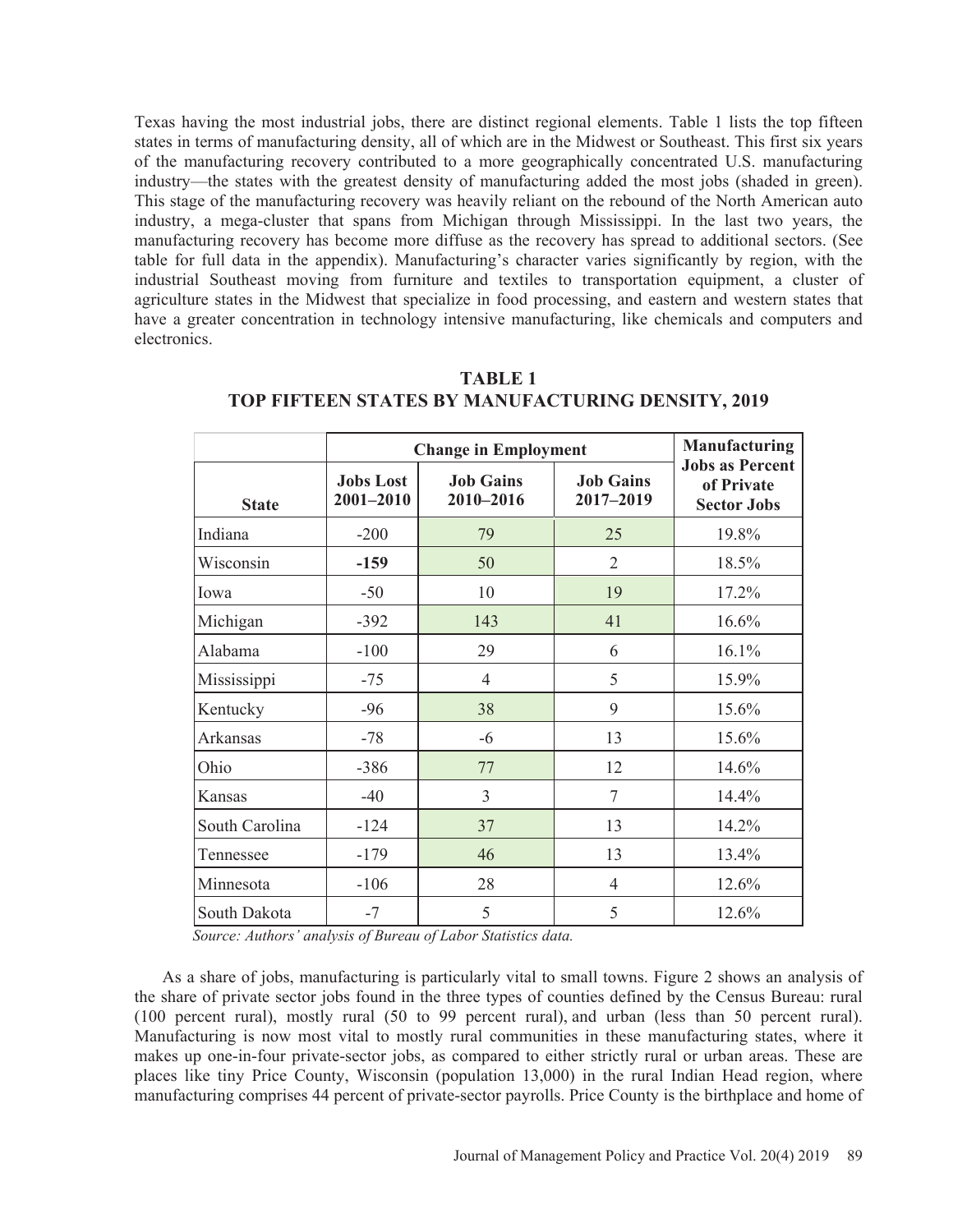Texas having the most industrial jobs, there are distinct regional elements. Table 1 lists the top fifteen states in terms of manufacturing density, all of which are in the Midwest or Southeast. This first six years of the manufacturing recovery contributed to a more geographically concentrated U.S. manufacturing industry—the states with the greatest density of manufacturing added the most jobs (shaded in green). This stage of the manufacturing recovery was heavily reliant on the rebound of the North American auto industry, a mega-cluster that spans from Michigan through Mississippi. In the last two years, the manufacturing recovery has become more diffuse as the recovery has spread to additional sectors. (See table for full data in the appendix). Manufacturing's character varies significantly by region, with the industrial Southeast moving from furniture and textiles to transportation equipment, a cluster of agriculture states in the Midwest that specialize in food processing, and eastern and western states that have a greater concentration in technology intensive manufacturing, like chemicals and computers and electronics.

|                | <b>Change in Employment</b>   | <b>Manufacturing</b>          |                               |                                                            |
|----------------|-------------------------------|-------------------------------|-------------------------------|------------------------------------------------------------|
| <b>State</b>   | <b>Jobs Lost</b><br>2001-2010 | <b>Job Gains</b><br>2010-2016 | <b>Job Gains</b><br>2017-2019 | <b>Jobs as Percent</b><br>of Private<br><b>Sector Jobs</b> |
| Indiana        | $-200$                        | 79                            | 25                            | 19.8%                                                      |
| Wisconsin      | $-159$                        | 50                            | $\overline{2}$                | 18.5%                                                      |
| Iowa           | $-50$                         | 10                            | 19                            | 17.2%                                                      |
| Michigan       | $-392$                        | 143                           | 41                            | 16.6%                                                      |
| Alabama        | $-100$                        | 29                            | 6                             | 16.1%                                                      |
| Mississippi    | $-75$                         | 4                             | 5                             | 15.9%                                                      |
| Kentucky       | $-96$                         | 38                            | 9                             | 15.6%                                                      |
| Arkansas       | $-78$                         | $-6$                          | 13                            | 15.6%                                                      |
| Ohio           | $-386$                        | 77                            | 12                            | 14.6%                                                      |
| Kansas         | $-40$                         | 3                             | 7                             | 14.4%                                                      |
| South Carolina | $-124$                        | 37                            | 13                            | 14.2%                                                      |
| Tennessee      | $-179$                        | 46                            | 13                            | 13.4%                                                      |
| Minnesota      | $-106$                        | 28                            | 4                             | 12.6%                                                      |
| South Dakota   | $-7$                          | 5                             | 5                             | 12.6%                                                      |

# **TABLE 1 TOP FIFTEEN STATES BY MANUFACTURING DENSITY, 2019**

 *Source: Authors' analysis of Bureau of Labor Statistics data.* 

As a share of jobs, manufacturing is particularly vital to small towns. Figure 2 shows an analysis of the share of private sector jobs found in the three types of counties defined by the Census Bureau: rural (100 percent rural), mostly rural (50 to 99 percent rural), and urban (less than 50 percent rural). Manufacturing is now most vital to mostly rural communities in these manufacturing states, where it makes up one-in-four private-sector jobs, as compared to either strictly rural or urban areas. These are places like tiny Price County, Wisconsin (population 13,000) in the rural Indian Head region, where manufacturing comprises 44 percent of private-sector payrolls. Price County is the birthplace and home of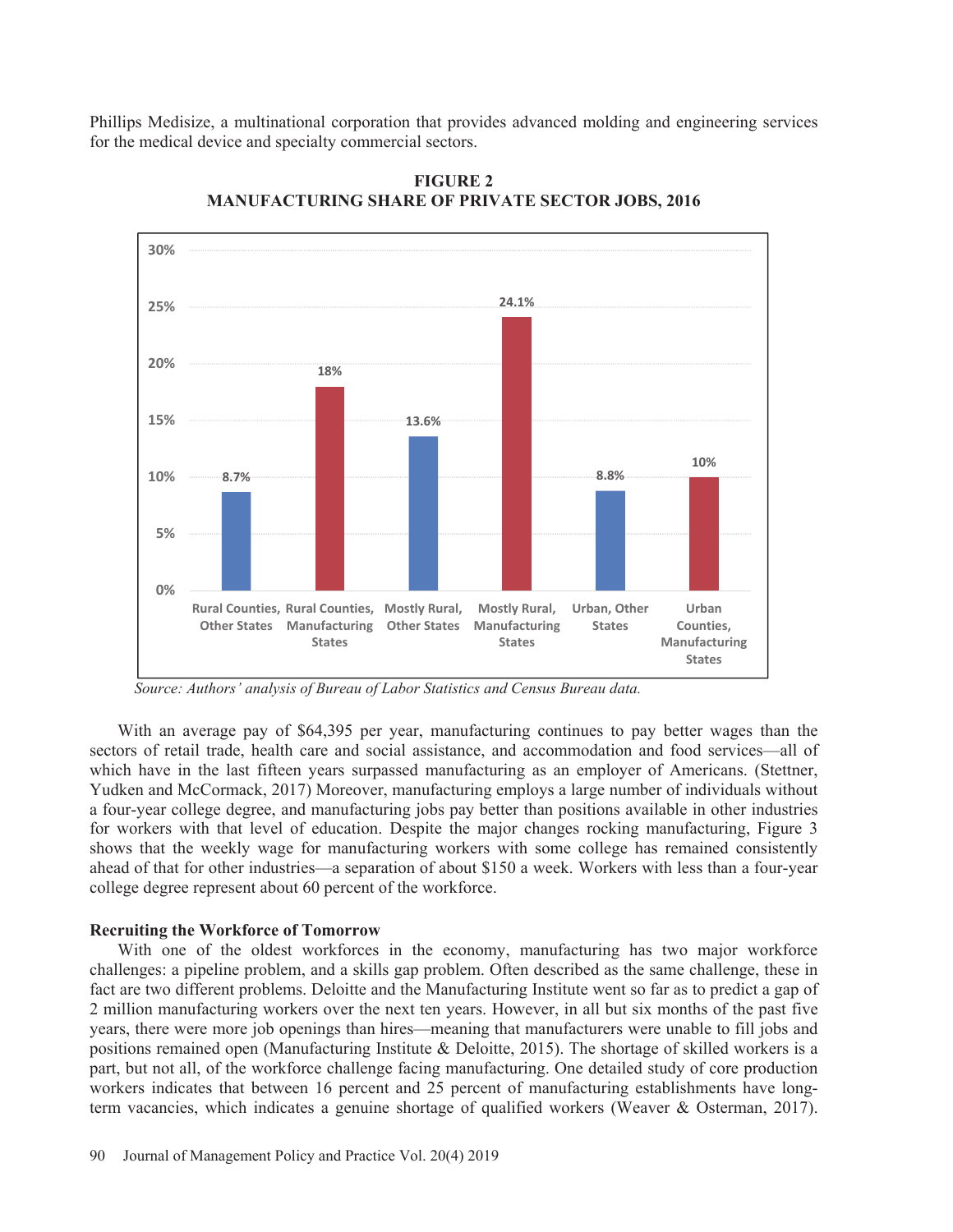Phillips Medisize, a multinational corporation that provides advanced molding and engineering services for the medical device and specialty commercial sectors.



**FIGURE 2 MANUFACTURING SHARE OF PRIVATE SECTOR JOBS, 2016** 

With an average pay of \$64,395 per year, manufacturing continues to pay better wages than the sectors of retail trade, health care and social assistance, and accommodation and food services—all of which have in the last fifteen years surpassed manufacturing as an employer of Americans. (Stettner, Yudken and McCormack, 2017) Moreover, manufacturing employs a large number of individuals without a four-year college degree, and manufacturing jobs pay better than positions available in other industries for workers with that level of education. Despite the major changes rocking manufacturing, Figure 3 shows that the weekly wage for manufacturing workers with some college has remained consistently ahead of that for other industries—a separation of about \$150 a week. Workers with less than a four-year college degree represent about 60 percent of the workforce.

#### **Recruiting the Workforce of Tomorrow**

With one of the oldest workforces in the economy, manufacturing has two major workforce challenges: a pipeline problem, and a skills gap problem. Often described as the same challenge, these in fact are two different problems. Deloitte and the Manufacturing Institute went so far as to predict a gap of 2 million manufacturing workers over the next ten years. However, in all but six months of the past five years, there were more job openings than hires—meaning that manufacturers were unable to fill jobs and positions remained open (Manufacturing Institute & Deloitte, 2015). The shortage of skilled workers is a part, but not all, of the workforce challenge facing manufacturing. One detailed study of core production workers indicates that between 16 percent and 25 percent of manufacturing establishments have longterm vacancies, which indicates a genuine shortage of qualified workers (Weaver & Osterman, 2017).

*Source: Authors' analysis of Bureau of Labor Statistics and Census Bureau data.*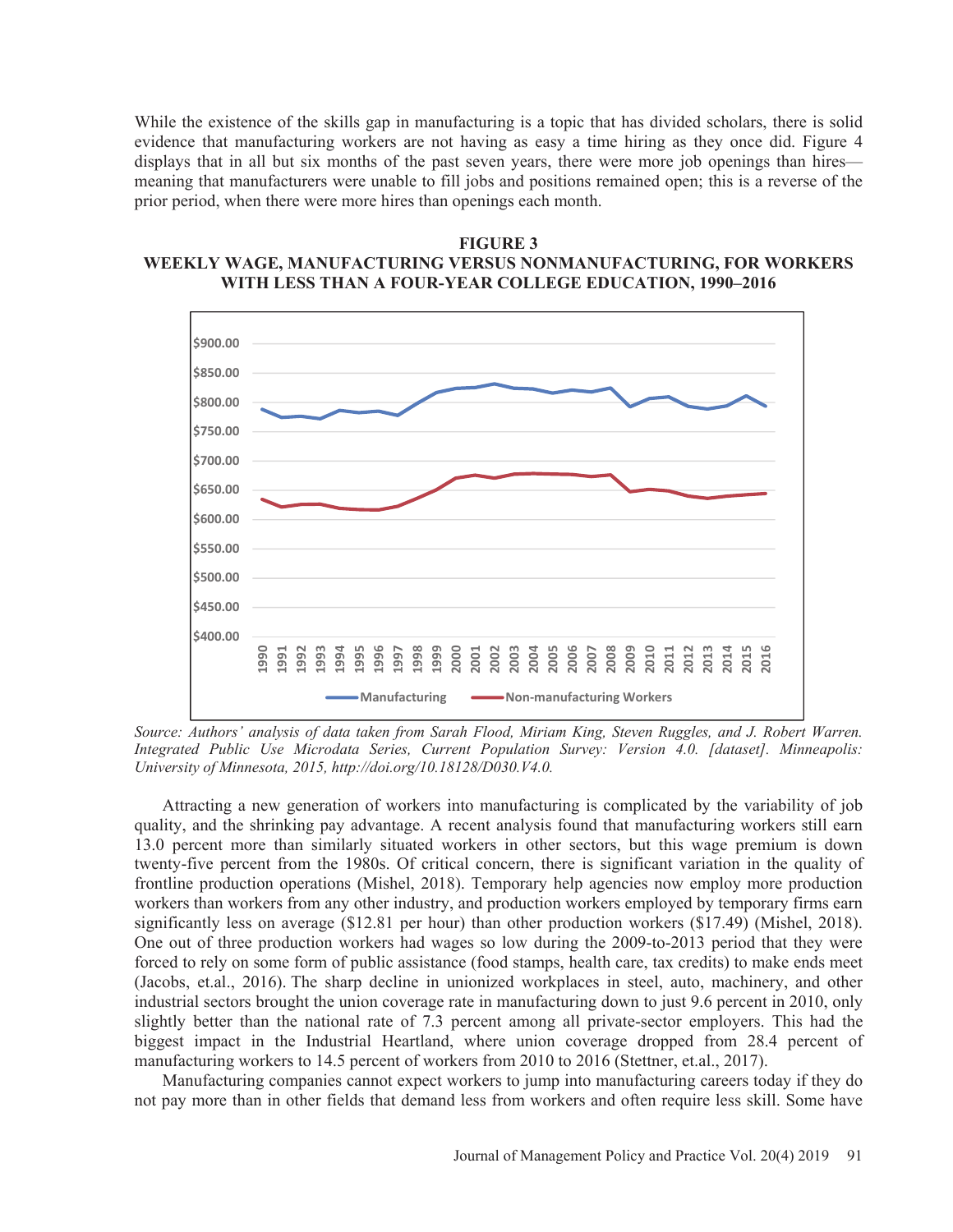While the existence of the skills gap in manufacturing is a topic that has divided scholars, there is solid evidence that manufacturing workers are not having as easy a time hiring as they once did. Figure 4 displays that in all but six months of the past seven years, there were more job openings than hires meaning that manufacturers were unable to fill jobs and positions remained open; this is a reverse of the prior period, when there were more hires than openings each month.

# **FIGURE 3 WEEKLY WAGE, MANUFACTURING VERSUS NONMANUFACTURING, FOR WORKERS WITH LESS THAN A FOUR-YEAR COLLEGE EDUCATION, 1990–2016**



*Source: Authors' analysis of data taken from Sarah Flood, Miriam King, Steven Ruggles, and J. Robert Warren. Integrated Public Use Microdata Series, Current Population Survey: Version 4.0. [dataset]. Minneapolis: University of Minnesota, 2015, http://doi.org/10.18128/D030.V4.0.*

Attracting a new generation of workers into manufacturing is complicated by the variability of job quality, and the shrinking pay advantage. A recent analysis found that manufacturing workers still earn 13.0 percent more than similarly situated workers in other sectors, but this wage premium is down twenty-five percent from the 1980s. Of critical concern, there is significant variation in the quality of frontline production operations (Mishel, 2018). Temporary help agencies now employ more production workers than workers from any other industry, and production workers employed by temporary firms earn significantly less on average (\$12.81 per hour) than other production workers (\$17.49) (Mishel, 2018). One out of three production workers had wages so low during the 2009-to-2013 period that they were forced to rely on some form of public assistance (food stamps, health care, tax credits) to make ends meet (Jacobs, et.al., 2016). The sharp decline in unionized workplaces in steel, auto, machinery, and other industrial sectors brought the union coverage rate in manufacturing down to just 9.6 percent in 2010, only slightly better than the national rate of 7.3 percent among all private-sector employers. This had the biggest impact in the Industrial Heartland, where union coverage dropped from 28.4 percent of manufacturing workers to 14.5 percent of workers from 2010 to 2016 (Stettner, et.al., 2017).

Manufacturing companies cannot expect workers to jump into manufacturing careers today if they do not pay more than in other fields that demand less from workers and often require less skill. Some have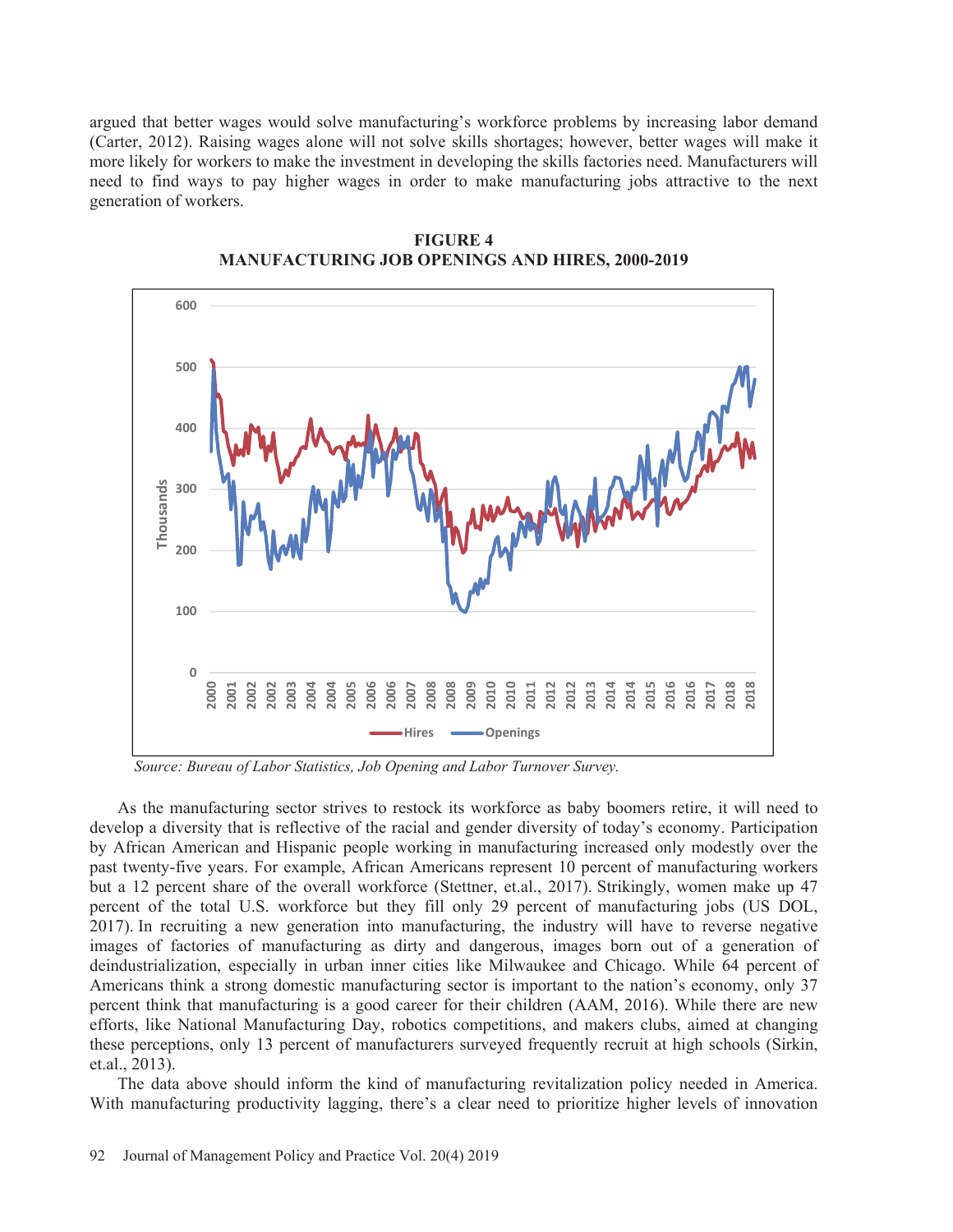argued that better wages would solve manufacturing's workforce problems by increasing labor demand (Carter, 2012). Raising wages alone will not solve skills shortages; however, better wages will make it more likely for workers to make the investment in developing the skills factories need. Manufacturers will need to find ways to pay higher wages in order to make manufacturing jobs attractive to the next generation of workers.



**FIGURE 4 MANUFACTURING JOB OPENINGS AND HIRES, 2000-2019** 

*Source: Bureau of Labor Statistics, Job Opening and Labor Turnover Survey.* 

As the manufacturing sector strives to restock its workforce as baby boomers retire, it will need to develop a diversity that is reflective of the racial and gender diversity of today's economy. Participation by African American and Hispanic people working in manufacturing increased only modestly over the past twenty-five years. For example, African Americans represent 10 percent of manufacturing workers but a 12 percent share of the overall workforce (Stettner, et.al., 2017). Strikingly, women make up 47 percent of the total U.S. workforce but they fill only 29 percent of manufacturing jobs (US DOL, 2017). In recruiting a new generation into manufacturing, the industry will have to reverse negative images of factories of manufacturing as dirty and dangerous, images born out of a generation of deindustrialization, especially in urban inner cities like Milwaukee and Chicago. While 64 percent of Americans think a strong domestic manufacturing sector is important to the nation's economy, only 37 percent think that manufacturing is a good career for their children (AAM, 2016). While there are new efforts, like National Manufacturing Day, robotics competitions, and makers clubs, aimed at changing these perceptions, only 13 percent of manufacturers surveyed frequently recruit at high schools (Sirkin, et.al., 2013).

The data above should inform the kind of manufacturing revitalization policy needed in America. With manufacturing productivity lagging, there's a clear need to prioritize higher levels of innovation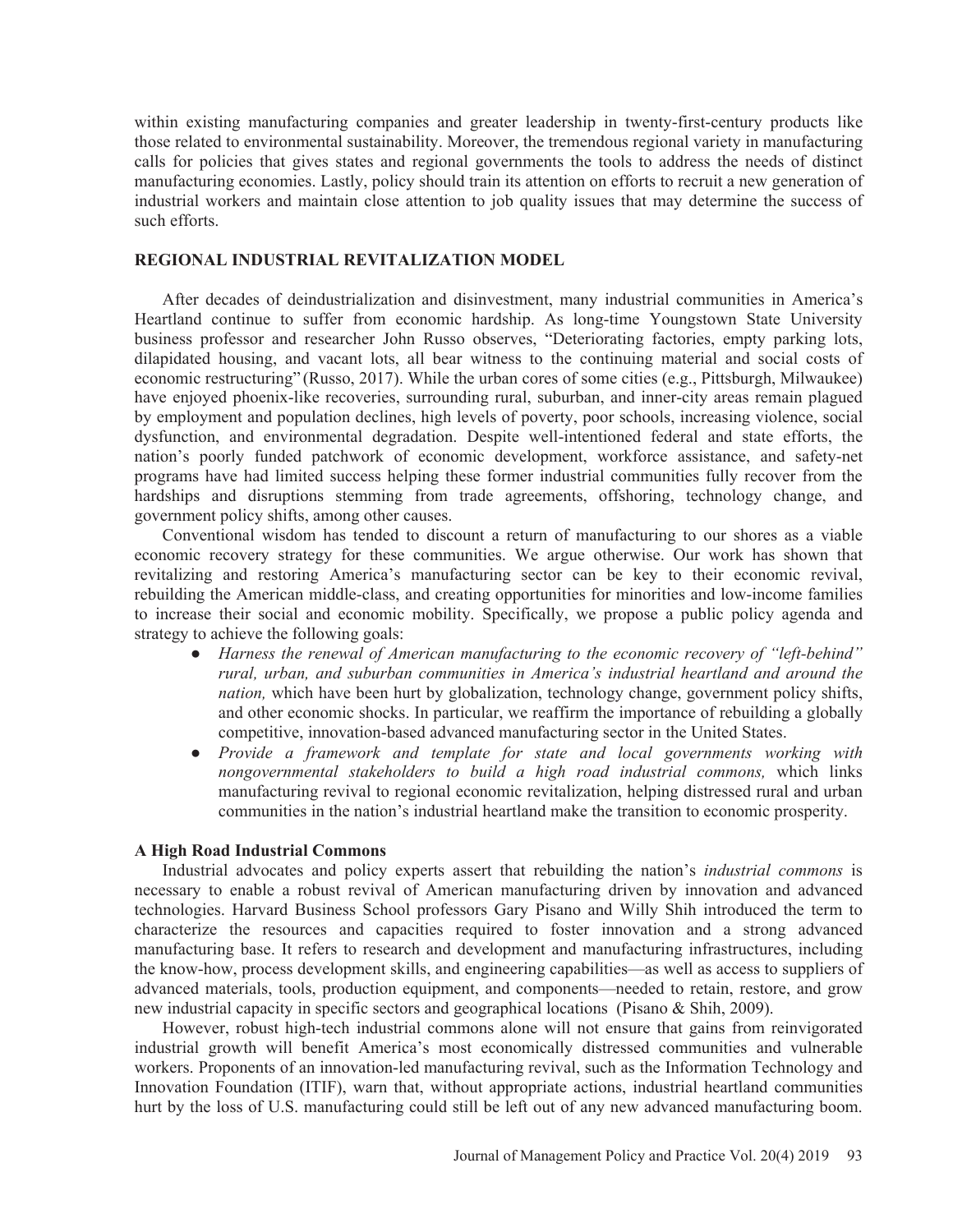within existing manufacturing companies and greater leadership in twenty-first-century products like those related to environmental sustainability. Moreover, the tremendous regional variety in manufacturing calls for policies that gives states and regional governments the tools to address the needs of distinct manufacturing economies. Lastly, policy should train its attention on efforts to recruit a new generation of industrial workers and maintain close attention to job quality issues that may determine the success of such efforts.

# **REGIONAL INDUSTRIAL REVITALIZATION MODEL**

After decades of deindustrialization and disinvestment, many industrial communities in America's Heartland continue to suffer from economic hardship. As long-time Youngstown State University business professor and researcher John Russo observes, "Deteriorating factories, empty parking lots, dilapidated housing, and vacant lots, all bear witness to the continuing material and social costs of economic restructuring" (Russo, 2017). While the urban cores of some cities (e.g., Pittsburgh, Milwaukee) have enjoyed phoenix-like recoveries, surrounding rural, suburban, and inner-city areas remain plagued by employment and population declines, high levels of poverty, poor schools, increasing violence, social dysfunction, and environmental degradation. Despite well-intentioned federal and state efforts, the nation's poorly funded patchwork of economic development, workforce assistance, and safety-net programs have had limited success helping these former industrial communities fully recover from the hardships and disruptions stemming from trade agreements, offshoring, technology change, and government policy shifts, among other causes.

Conventional wisdom has tended to discount a return of manufacturing to our shores as a viable economic recovery strategy for these communities. We argue otherwise. Our work has shown that revitalizing and restoring America's manufacturing sector can be key to their economic revival, rebuilding the American middle-class, and creating opportunities for minorities and low-income families to increase their social and economic mobility. Specifically, we propose a public policy agenda and strategy to achieve the following goals:

- භ *Harness the renewal of American manufacturing to the economic recovery of "left-behind" rural, urban, and suburban communities in America's industrial heartland and around the nation,* which have been hurt by globalization, technology change, government policy shifts, and other economic shocks. In particular, we reaffirm the importance of rebuilding a globally competitive, innovation-based advanced manufacturing sector in the United States.
- භ *Provide a framework and template for state and local governments working with nongovernmental stakeholders to build a high road industrial commons,* which links manufacturing revival to regional economic revitalization, helping distressed rural and urban communities in the nation's industrial heartland make the transition to economic prosperity.

## **A High Road Industrial Commons**

Industrial advocates and policy experts assert that rebuilding the nation's *industrial commons* is necessary to enable a robust revival of American manufacturing driven by innovation and advanced technologies. Harvard Business School professors Gary Pisano and Willy Shih introduced the term to characterize the resources and capacities required to foster innovation and a strong advanced manufacturing base. It refers to research and development and manufacturing infrastructures, including the know-how, process development skills, and engineering capabilities—as well as access to suppliers of advanced materials, tools, production equipment, and components—needed to retain, restore, and grow new industrial capacity in specific sectors and geographical locations (Pisano & Shih, 2009).

However, robust high-tech industrial commons alone will not ensure that gains from reinvigorated industrial growth will benefit America's most economically distressed communities and vulnerable workers. Proponents of an innovation-led manufacturing revival, such as the Information Technology and Innovation Foundation (ITIF), warn that, without appropriate actions, industrial heartland communities hurt by the loss of U.S. manufacturing could still be left out of any new advanced manufacturing boom.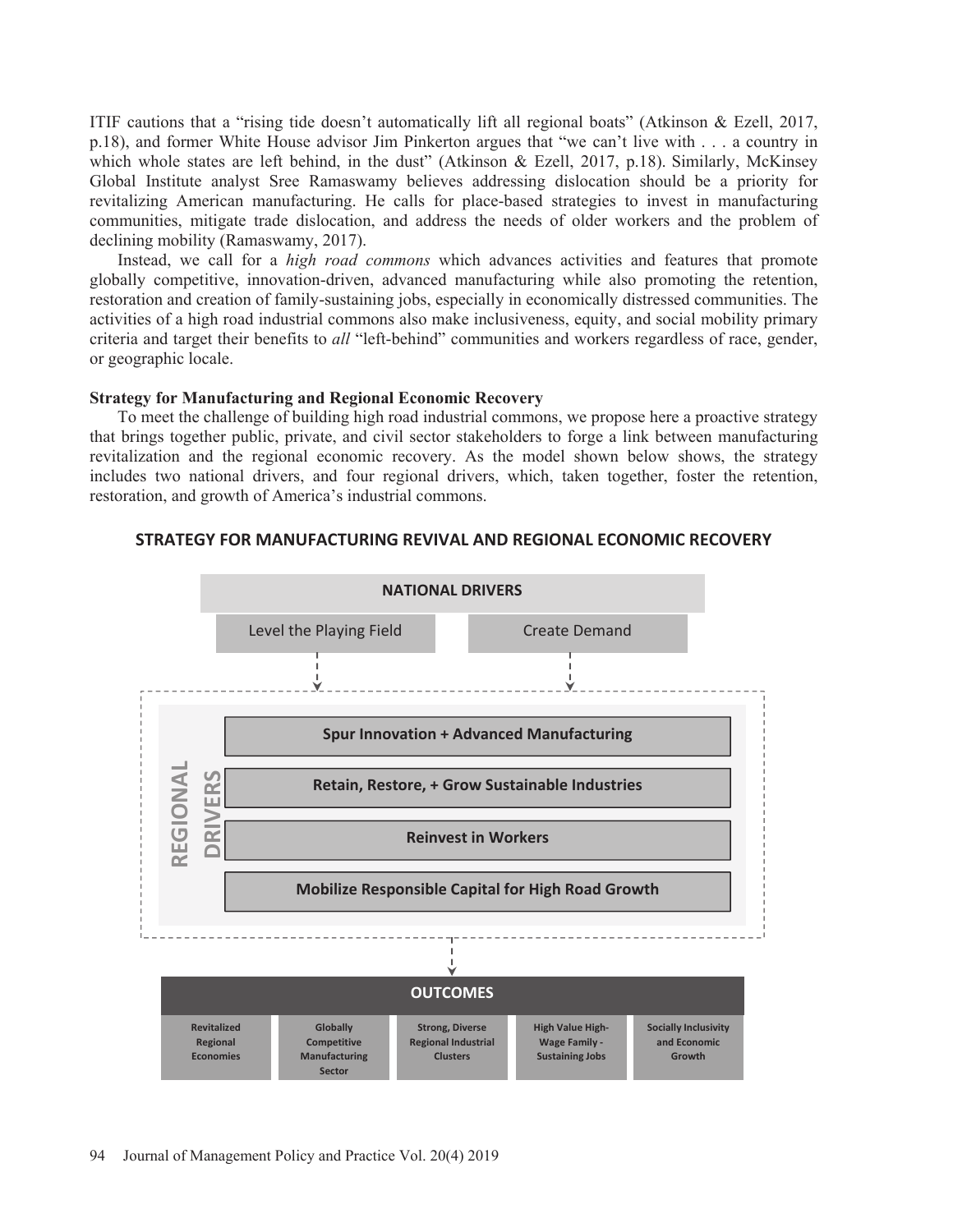ITIF cautions that a "rising tide doesn't automatically lift all regional boats" (Atkinson & Ezell, 2017, p.18), and former White House advisor Jim Pinkerton argues that "we can't live with . . . a country in which whole states are left behind, in the dust" (Atkinson & Ezell, 2017, p.18). Similarly, McKinsey Global Institute analyst Sree Ramaswamy believes addressing dislocation should be a priority for revitalizing American manufacturing. He calls for place-based strategies to invest in manufacturing communities, mitigate trade dislocation, and address the needs of older workers and the problem of declining mobility (Ramaswamy, 2017).

Instead, we call for a *high road commons* which advances activities and features that promote globally competitive, innovation-driven, advanced manufacturing while also promoting the retention, restoration and creation of family-sustaining jobs, especially in economically distressed communities. The activities of a high road industrial commons also make inclusiveness, equity, and social mobility primary criteria and target their benefits to *all* "left-behind" communities and workers regardless of race, gender, or geographic locale.

#### **Strategy for Manufacturing and Regional Economic Recovery**

To meet the challenge of building high road industrial commons, we propose here a proactive strategy that brings together public, private, and civil sector stakeholders to forge a link between manufacturing revitalization and the regional economic recovery. As the model shown below shows, the strategy includes two national drivers, and four regional drivers, which, taken together, foster the retention, restoration, and growth of America's industrial commons.



#### **STRATEGY FOR MANUFACTURING REVIVAL AND REGIONAL ECONOMIC RECOVERY**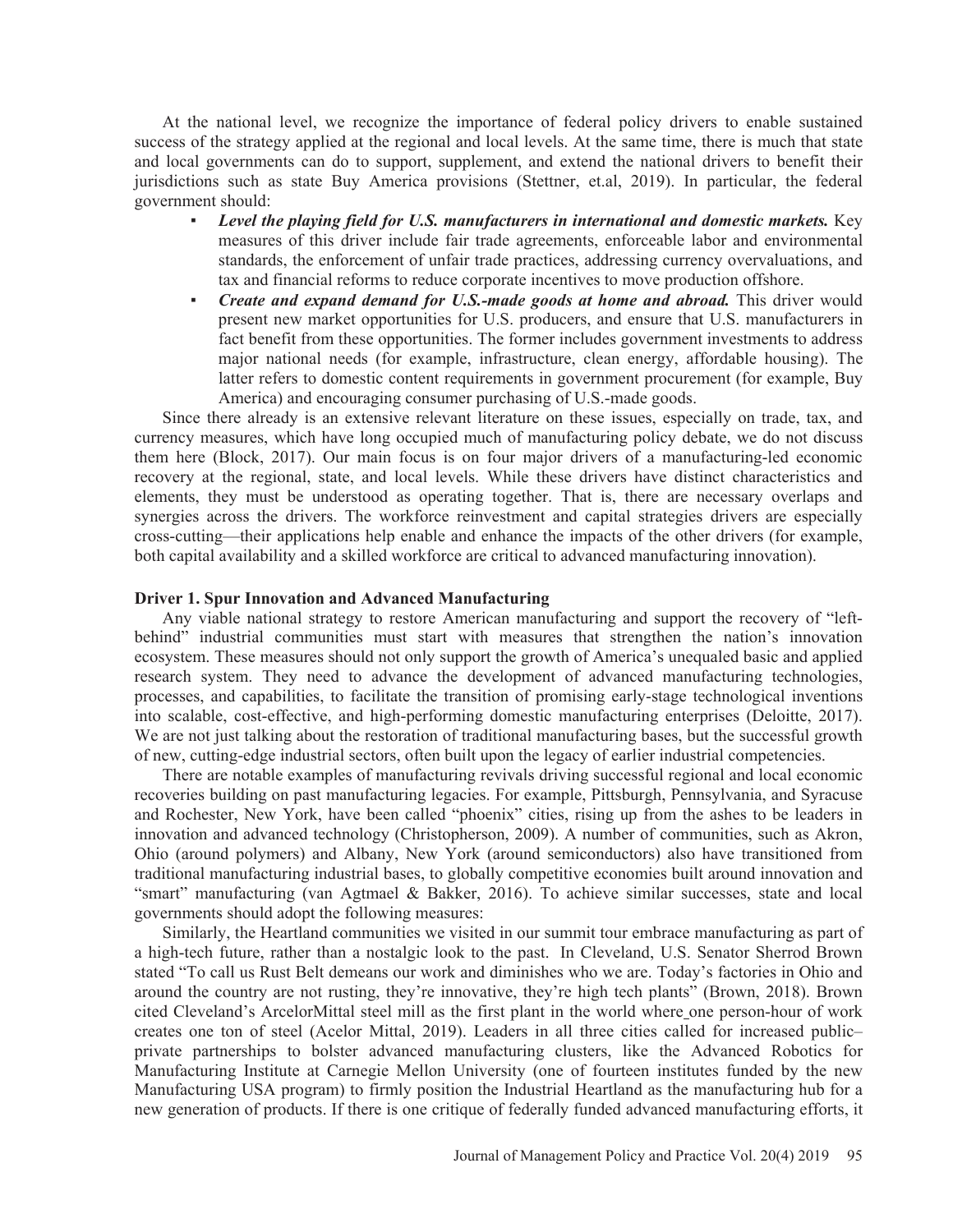At the national level, we recognize the importance of federal policy drivers to enable sustained success of the strategy applied at the regional and local levels. At the same time, there is much that state and local governments can do to support, supplement, and extend the national drivers to benefit their jurisdictions such as state Buy America provisions (Stettner, et.al, 2019). In particular, the federal government should:

- ඵ *Level the playing field for U.S. manufacturers in international and domestic markets.* Key measures of this driver include fair trade agreements, enforceable labor and environmental standards, the enforcement of unfair trade practices, addressing currency overvaluations, and tax and financial reforms to reduce corporate incentives to move production offshore.
- ඵ *Create and expand demand for U.S.-made goods at home and abroad.* This driver would present new market opportunities for U.S. producers, and ensure that U.S. manufacturers in fact benefit from these opportunities. The former includes government investments to address major national needs (for example, infrastructure, clean energy, affordable housing). The latter refers to domestic content requirements in government procurement (for example, Buy America) and encouraging consumer purchasing of U.S.-made goods.

Since there already is an extensive relevant literature on these issues, especially on trade, tax, and currency measures, which have long occupied much of manufacturing policy debate, we do not discuss them here (Block, 2017). Our main focus is on four major drivers of a manufacturing-led economic recovery at the regional, state, and local levels. While these drivers have distinct characteristics and elements, they must be understood as operating together. That is, there are necessary overlaps and synergies across the drivers. The workforce reinvestment and capital strategies drivers are especially cross-cutting—their applications help enable and enhance the impacts of the other drivers (for example, both capital availability and a skilled workforce are critical to advanced manufacturing innovation).

## **Driver 1. Spur Innovation and Advanced Manufacturing**

Any viable national strategy to restore American manufacturing and support the recovery of "leftbehind" industrial communities must start with measures that strengthen the nation's innovation ecosystem. These measures should not only support the growth of America's unequaled basic and applied research system. They need to advance the development of advanced manufacturing technologies, processes, and capabilities, to facilitate the transition of promising early-stage technological inventions into scalable, cost-effective, and high-performing domestic manufacturing enterprises (Deloitte, 2017). We are not just talking about the restoration of traditional manufacturing bases, but the successful growth of new, cutting-edge industrial sectors, often built upon the legacy of earlier industrial competencies.

There are notable examples of manufacturing revivals driving successful regional and local economic recoveries building on past manufacturing legacies. For example, Pittsburgh, Pennsylvania, and Syracuse and Rochester, New York, have been called "phoenix" cities, rising up from the ashes to be leaders in innovation and advanced technology (Christopherson, 2009). A number of communities, such as Akron, Ohio (around polymers) and Albany, New York (around semiconductors) also have transitioned from traditional manufacturing industrial bases, to globally competitive economies built around innovation and "smart" manufacturing (van Agtmael & Bakker, 2016). To achieve similar successes, state and local governments should adopt the following measures:

Similarly, the Heartland communities we visited in our summit tour embrace manufacturing as part of a high-tech future, rather than a nostalgic look to the past. In Cleveland, U.S. Senator Sherrod Brown stated "To call us Rust Belt demeans our work and diminishes who we are. Today's factories in Ohio and around the country are not rusting, they're innovative, they're high tech plants" (Brown, 2018). Brown cited Cleveland's ArcelorMittal steel mill as the first plant in the world where one person-hour of work creates one ton of steel (Acelor Mittal, 2019). Leaders in all three cities called for increased public– private partnerships to bolster advanced manufacturing clusters, like the Advanced Robotics for Manufacturing Institute at Carnegie Mellon University (one of fourteen institutes funded by the new Manufacturing USA program) to firmly position the Industrial Heartland as the manufacturing hub for a new generation of products. If there is one critique of federally funded advanced manufacturing efforts, it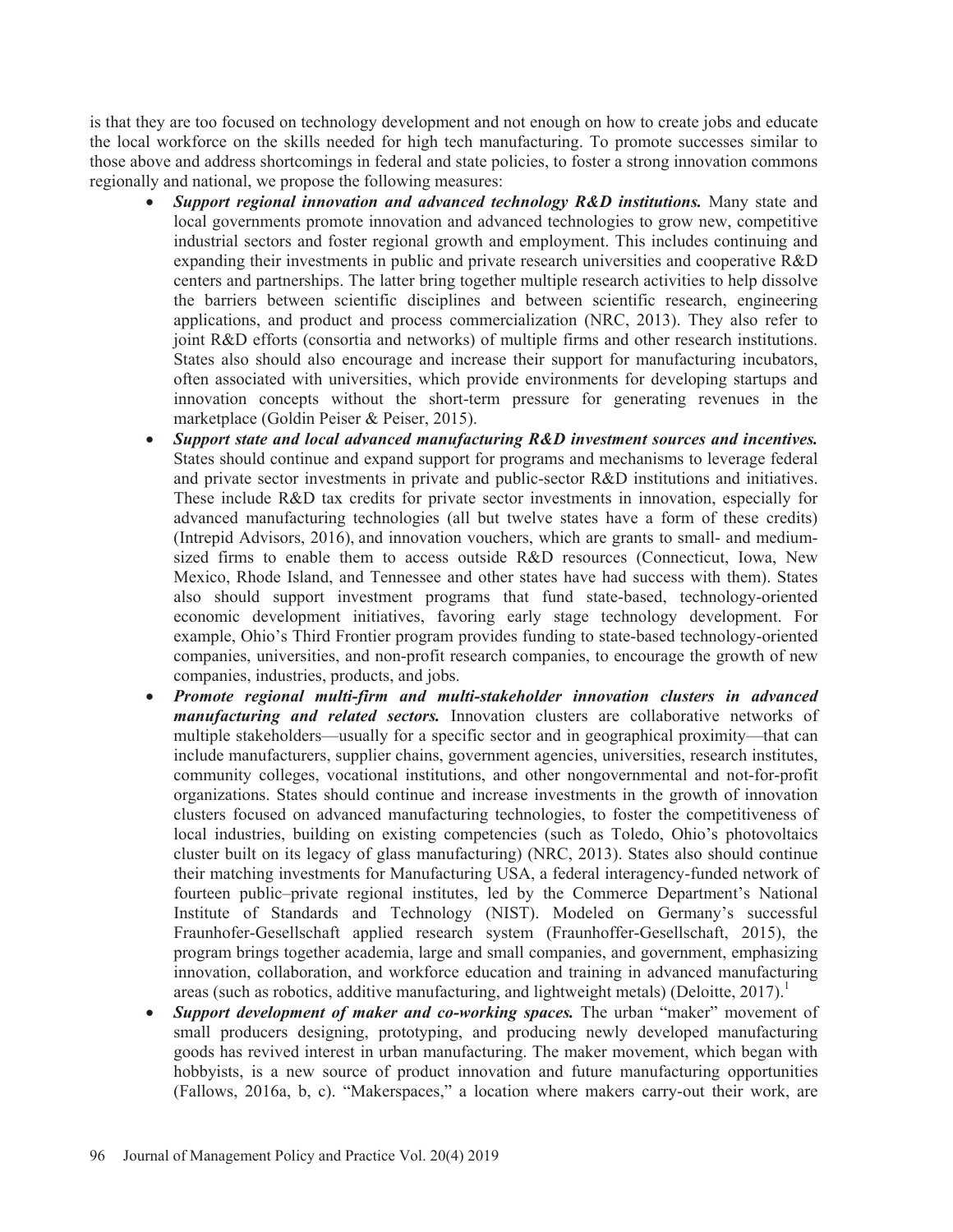is that they are too focused on technology development and not enough on how to create jobs and educate the local workforce on the skills needed for high tech manufacturing. To promote successes similar to those above and address shortcomings in federal and state policies, to foster a strong innovation commons regionally and national, we propose the following measures:

- *Support regional innovation and advanced technology R&D institutions.* Many state and local governments promote innovation and advanced technologies to grow new, competitive industrial sectors and foster regional growth and employment. This includes continuing and expanding their investments in public and private research universities and cooperative R&D centers and partnerships. The latter bring together multiple research activities to help dissolve the barriers between scientific disciplines and between scientific research, engineering applications, and product and process commercialization (NRC, 2013). They also refer to joint R&D efforts (consortia and networks) of multiple firms and other research institutions. States also should also encourage and increase their support for manufacturing incubators, often associated with universities, which provide environments for developing startups and innovation concepts without the short-term pressure for generating revenues in the marketplace (Goldin Peiser & Peiser, 2015).
- x *Support state and local advanced manufacturing R&D investment sources and incentives.*  States should continue and expand support for programs and mechanisms to leverage federal and private sector investments in private and public-sector R&D institutions and initiatives. These include R&D tax credits for private sector investments in innovation, especially for advanced manufacturing technologies (all but twelve states have a form of these credits) (Intrepid Advisors, 2016), and innovation vouchers, which are grants to small- and mediumsized firms to enable them to access outside R&D resources (Connecticut, Iowa, New Mexico, Rhode Island, and Tennessee and other states have had success with them). States also should support investment programs that fund state-based, technology-oriented economic development initiatives, favoring early stage technology development. For example, Ohio's Third Frontier program provides funding to state-based technology-oriented companies, universities, and non-profit research companies, to encourage the growth of new companies, industries, products, and jobs.
- x *Promote regional multi-firm and multi-stakeholder innovation clusters in advanced manufacturing and related sectors.* Innovation clusters are collaborative networks of multiple stakeholders—usually for a specific sector and in geographical proximity—that can include manufacturers, supplier chains, government agencies, universities, research institutes, community colleges, vocational institutions, and other nongovernmental and not-for-profit organizations. States should continue and increase investments in the growth of innovation clusters focused on advanced manufacturing technologies, to foster the competitiveness of local industries, building on existing competencies (such as Toledo, Ohio's photovoltaics cluster built on its legacy of glass manufacturing) (NRC, 2013). States also should continue their matching investments for Manufacturing USA, a federal interagency-funded network of fourteen public–private regional institutes, led by the Commerce Department's National Institute of Standards and Technology (NIST). Modeled on Germany's successful Fraunhofer-Gesellschaft applied research system (Fraunhoffer-Gesellschaft, 2015), the program brings together academia, large and small companies, and government, emphasizing innovation, collaboration, and workforce education and training in advanced manufacturing areas (such as robotics, additive manufacturing, and lightweight metals) (Deloitte,  $2017$ ).<sup>1</sup>
- *Support development of maker and co-working spaces.* The urban "maker" movement of small producers designing, prototyping, and producing newly developed manufacturing goods has revived interest in urban manufacturing. The maker movement, which began with hobbyists, is a new source of product innovation and future manufacturing opportunities (Fallows, 2016a, b, c). "Makerspaces," a location where makers carry-out their work, are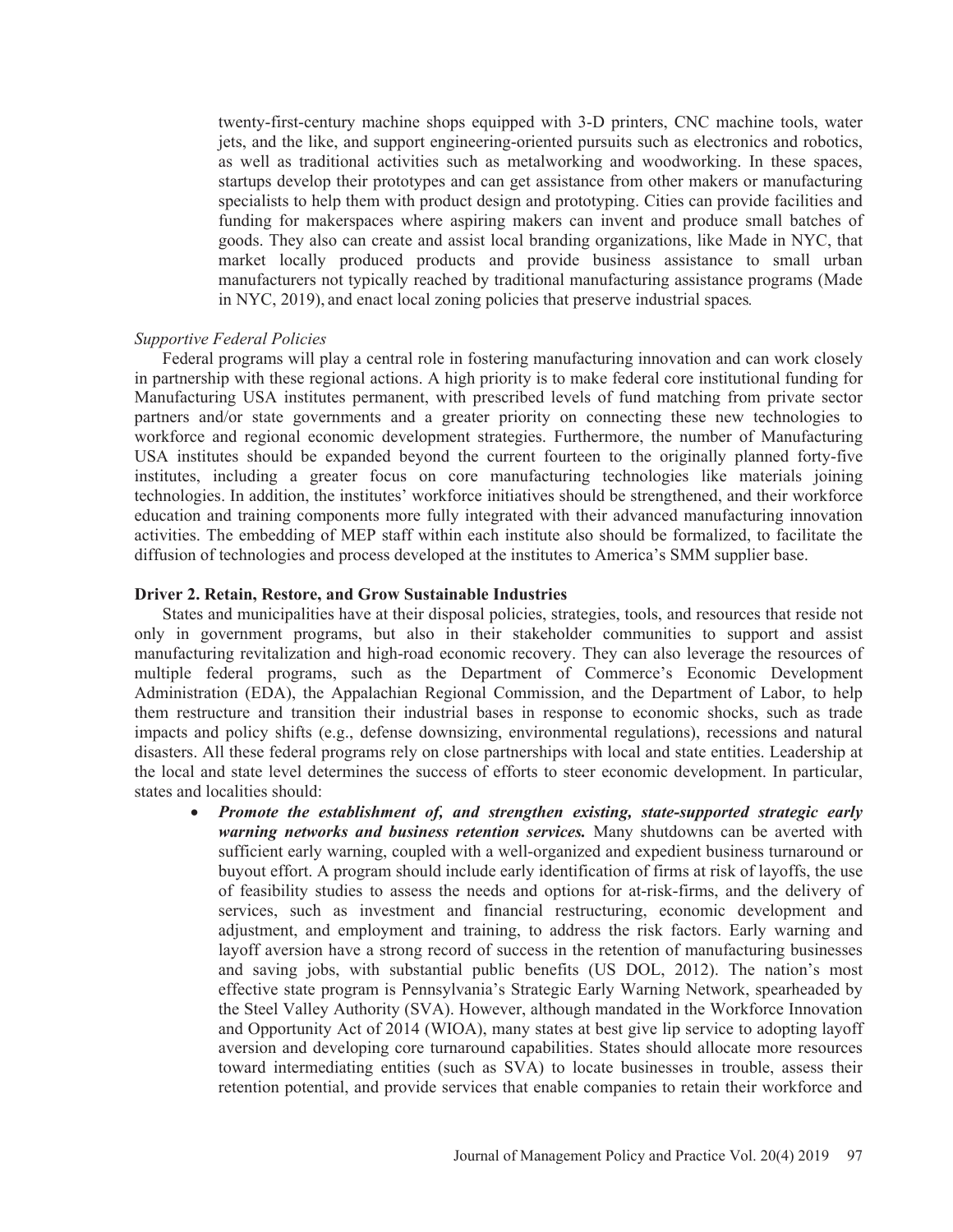twenty-first-century machine shops equipped with 3-D printers, CNC machine tools, water jets, and the like, and support engineering-oriented pursuits such as electronics and robotics, as well as traditional activities such as metalworking and woodworking. In these spaces, startups develop their prototypes and can get assistance from other makers or manufacturing specialists to help them with product design and prototyping. Cities can provide facilities and funding for makerspaces where aspiring makers can invent and produce small batches of goods. They also can create and assist local branding organizations, like Made in NYC, that market locally produced products and provide business assistance to small urban manufacturers not typically reached by traditional manufacturing assistance programs (Made in NYC, 2019), and enact local zoning policies that preserve industrial spaces*.*

## *Supportive Federal Policies*

Federal programs will play a central role in fostering manufacturing innovation and can work closely in partnership with these regional actions. A high priority is to make federal core institutional funding for Manufacturing USA institutes permanent, with prescribed levels of fund matching from private sector partners and/or state governments and a greater priority on connecting these new technologies to workforce and regional economic development strategies. Furthermore, the number of Manufacturing USA institutes should be expanded beyond the current fourteen to the originally planned forty-five institutes, including a greater focus on core manufacturing technologies like materials joining technologies. In addition, the institutes' workforce initiatives should be strengthened, and their workforce education and training components more fully integrated with their advanced manufacturing innovation activities. The embedding of MEP staff within each institute also should be formalized, to facilitate the diffusion of technologies and process developed at the institutes to America's SMM supplier base.

### **Driver 2. Retain, Restore, and Grow Sustainable Industries**

States and municipalities have at their disposal policies, strategies, tools, and resources that reside not only in government programs, but also in their stakeholder communities to support and assist manufacturing revitalization and high-road economic recovery. They can also leverage the resources of multiple federal programs, such as the Department of Commerce's Economic Development Administration (EDA), the Appalachian Regional Commission, and the Department of Labor, to help them restructure and transition their industrial bases in response to economic shocks, such as trade impacts and policy shifts (e.g., defense downsizing, environmental regulations), recessions and natural disasters. All these federal programs rely on close partnerships with local and state entities. Leadership at the local and state level determines the success of efforts to steer economic development. In particular, states and localities should:

• *Promote the establishment of, and strengthen existing, state-supported strategic early warning networks and business retention services.* Many shutdowns can be averted with sufficient early warning, coupled with a well-organized and expedient business turnaround or buyout effort. A program should include early identification of firms at risk of layoffs, the use of feasibility studies to assess the needs and options for at-risk-firms, and the delivery of services, such as investment and financial restructuring, economic development and adjustment, and employment and training, to address the risk factors. Early warning and layoff aversion have a strong record of success in the retention of manufacturing businesses and saving jobs, with substantial public benefits (US DOL, 2012). The nation's most effective state program is Pennsylvania's Strategic Early Warning Network, spearheaded by the Steel Valley Authority (SVA). However, although mandated in the Workforce Innovation and Opportunity Act of 2014 (WIOA), many states at best give lip service to adopting layoff aversion and developing core turnaround capabilities. States should allocate more resources toward intermediating entities (such as SVA) to locate businesses in trouble, assess their retention potential, and provide services that enable companies to retain their workforce and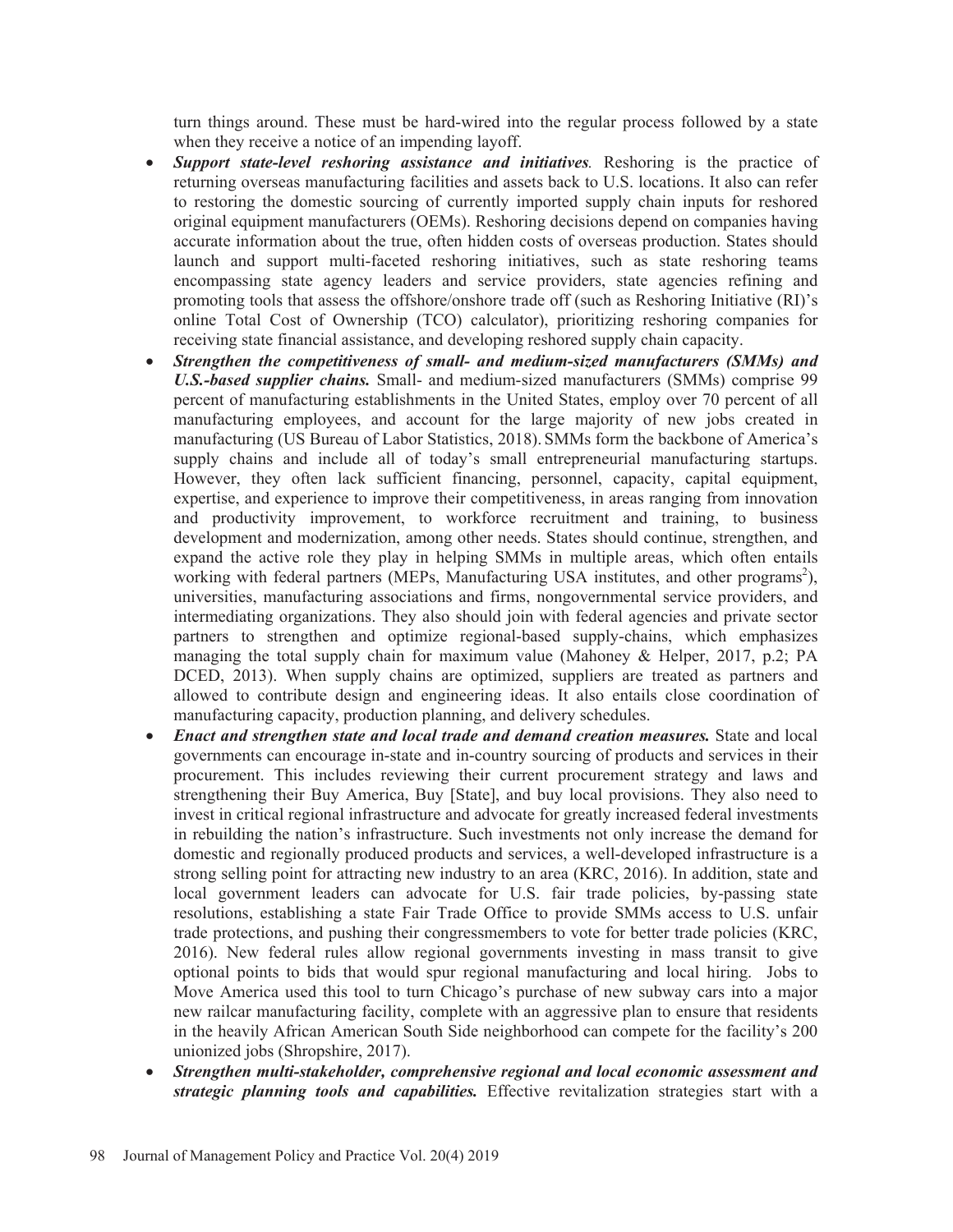turn things around. These must be hard-wired into the regular process followed by a state when they receive a notice of an impending layoff.

- *Support state-level reshoring assistance and initiatives*. Reshoring is the practice of returning overseas manufacturing facilities and assets back to U.S. locations. It also can refer to restoring the domestic sourcing of currently imported supply chain inputs for reshored original equipment manufacturers (OEMs). Reshoring decisions depend on companies having accurate information about the true, often hidden costs of overseas production. States should launch and support multi-faceted reshoring initiatives, such as state reshoring teams encompassing state agency leaders and service providers, state agencies refining and promoting tools that assess the offshore/onshore trade off (such as Reshoring Initiative (RI)'s online Total Cost of Ownership (TCO) calculator), prioritizing reshoring companies for receiving state financial assistance, and developing reshored supply chain capacity.
- Strengthen the competitiveness of small- and medium-sized manufacturers (SMMs) and *U.S.-based supplier chains.* Small- and medium-sized manufacturers (SMMs) comprise 99 percent of manufacturing establishments in the United States, employ over 70 percent of all manufacturing employees, and account for the large majority of new jobs created in manufacturing (US Bureau of Labor Statistics, 2018). SMMs form the backbone of America's supply chains and include all of today's small entrepreneurial manufacturing startups. However, they often lack sufficient financing, personnel, capacity, capital equipment, expertise, and experience to improve their competitiveness, in areas ranging from innovation and productivity improvement, to workforce recruitment and training, to business development and modernization, among other needs. States should continue, strengthen, and expand the active role they play in helping SMMs in multiple areas, which often entails working with federal partners (MEPs, Manufacturing USA institutes, and other programs<sup>2</sup>), universities, manufacturing associations and firms, nongovernmental service providers, and intermediating organizations. They also should join with federal agencies and private sector partners to strengthen and optimize regional-based supply-chains, which emphasizes managing the total supply chain for maximum value (Mahoney & Helper, 2017, p.2; PA DCED, 2013). When supply chains are optimized, suppliers are treated as partners and allowed to contribute design and engineering ideas. It also entails close coordination of manufacturing capacity, production planning, and delivery schedules.
- *Enact and strengthen state and local trade and demand creation measures.* State and local governments can encourage in-state and in-country sourcing of products and services in their procurement. This includes reviewing their current procurement strategy and laws and strengthening their Buy America, Buy [State], and buy local provisions. They also need to invest in critical regional infrastructure and advocate for greatly increased federal investments in rebuilding the nation's infrastructure. Such investments not only increase the demand for domestic and regionally produced products and services, a well-developed infrastructure is a strong selling point for attracting new industry to an area (KRC, 2016). In addition, state and local government leaders can advocate for U.S. fair trade policies, by-passing state resolutions, establishing a state Fair Trade Office to provide SMMs access to U.S. unfair trade protections, and pushing their congressmembers to vote for better trade policies (KRC, 2016). New federal rules allow regional governments investing in mass transit to give optional points to bids that would spur regional manufacturing and local hiring. Jobs to Move America used this tool to turn Chicago's purchase of new subway cars into a major new railcar manufacturing facility, complete with an aggressive plan to ensure that residents in the heavily African American South Side neighborhood can compete for the facility's 200 unionized jobs (Shropshire, 2017).
- x *Strengthen multi-stakeholder, comprehensive regional and local economic assessment and strategic planning tools and capabilities.* Effective revitalization strategies start with a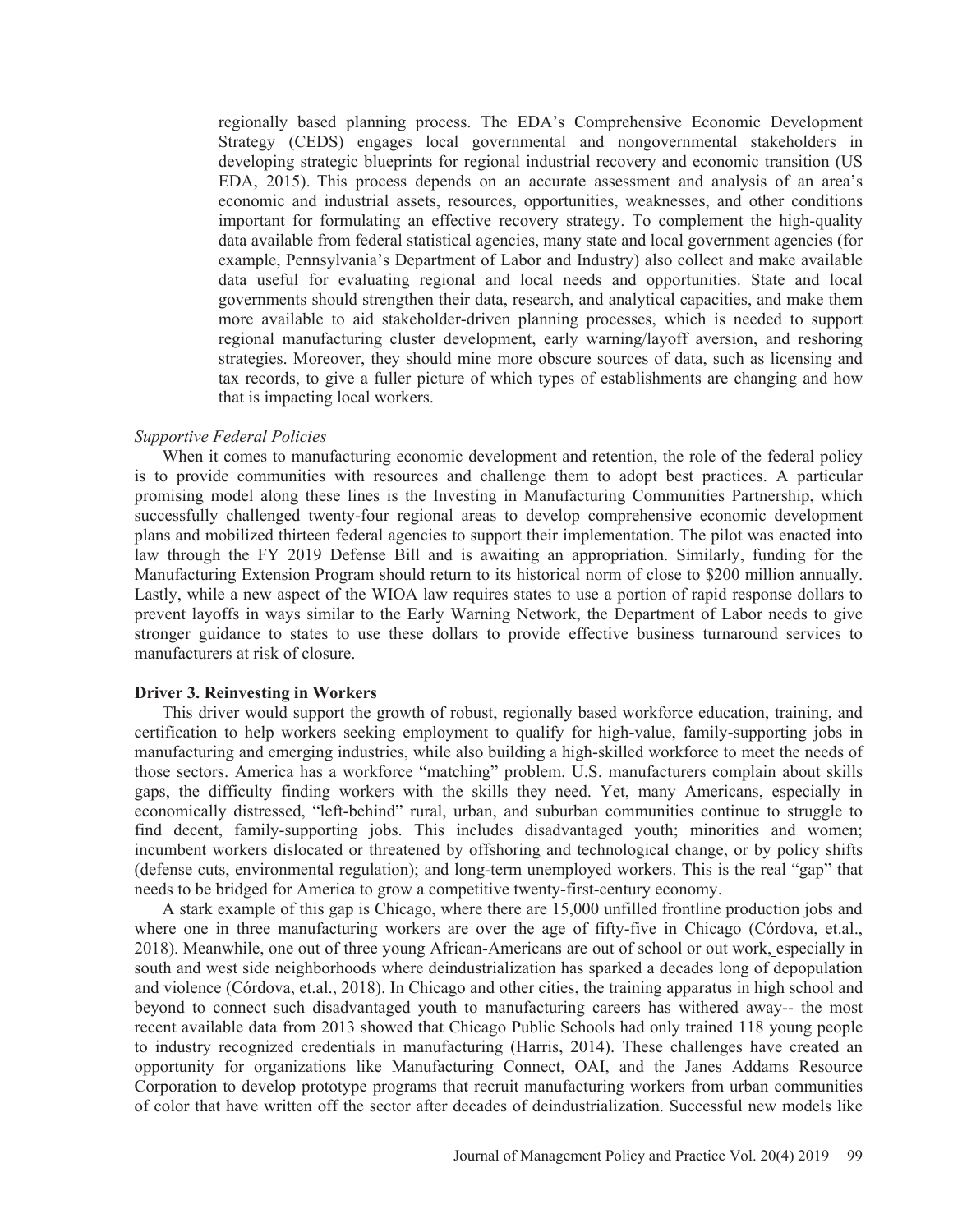regionally based planning process. The EDA's Comprehensive Economic Development Strategy (CEDS) engages local governmental and nongovernmental stakeholders in developing strategic blueprints for regional industrial recovery and economic transition (US EDA, 2015). This process depends on an accurate assessment and analysis of an area's economic and industrial assets, resources, opportunities, weaknesses, and other conditions important for formulating an effective recovery strategy. To complement the high-quality data available from federal statistical agencies, many state and local government agencies (for example, Pennsylvania's Department of Labor and Industry) also collect and make available data useful for evaluating regional and local needs and opportunities. State and local governments should strengthen their data, research, and analytical capacities, and make them more available to aid stakeholder-driven planning processes, which is needed to support regional manufacturing cluster development, early warning/layoff aversion, and reshoring strategies. Moreover, they should mine more obscure sources of data, such as licensing and tax records, to give a fuller picture of which types of establishments are changing and how that is impacting local workers.

## *Supportive Federal Policies*

When it comes to manufacturing economic development and retention, the role of the federal policy is to provide communities with resources and challenge them to adopt best practices. A particular promising model along these lines is the Investing in Manufacturing Communities Partnership, which successfully challenged twenty-four regional areas to develop comprehensive economic development plans and mobilized thirteen federal agencies to support their implementation. The pilot was enacted into law through the FY 2019 Defense Bill and is awaiting an appropriation. Similarly, funding for the Manufacturing Extension Program should return to its historical norm of close to \$200 million annually. Lastly, while a new aspect of the WIOA law requires states to use a portion of rapid response dollars to prevent layoffs in ways similar to the Early Warning Network, the Department of Labor needs to give stronger guidance to states to use these dollars to provide effective business turnaround services to manufacturers at risk of closure.

## **Driver 3. Reinvesting in Workers**

This driver would support the growth of robust, regionally based workforce education, training, and certification to help workers seeking employment to qualify for high-value, family-supporting jobs in manufacturing and emerging industries, while also building a high-skilled workforce to meet the needs of those sectors. America has a workforce "matching" problem. U.S. manufacturers complain about skills gaps, the difficulty finding workers with the skills they need. Yet, many Americans, especially in economically distressed, "left-behind" rural, urban, and suburban communities continue to struggle to find decent, family-supporting jobs. This includes disadvantaged youth; minorities and women; incumbent workers dislocated or threatened by offshoring and technological change, or by policy shifts (defense cuts, environmental regulation); and long-term unemployed workers. This is the real "gap" that needs to be bridged for America to grow a competitive twenty-first-century economy.

A stark example of this gap is Chicago, where there are 15,000 unfilled frontline production jobs and where one in three manufacturing workers are over the age of fifty-five in Chicago (Córdova, et.al., 2018). Meanwhile, one out of three young African-Americans are out of school or out work, especially in south and west side neighborhoods where deindustrialization has sparked a decades long of depopulation and violence (Córdova, et.al., 2018). In Chicago and other cities, the training apparatus in high school and beyond to connect such disadvantaged youth to manufacturing careers has withered away-- the most recent available data from 2013 showed that Chicago Public Schools had only trained 118 young people to industry recognized credentials in manufacturing (Harris, 2014). These challenges have created an opportunity for organizations like Manufacturing Connect, OAI, and the Janes Addams Resource Corporation to develop prototype programs that recruit manufacturing workers from urban communities of color that have written off the sector after decades of deindustrialization. Successful new models like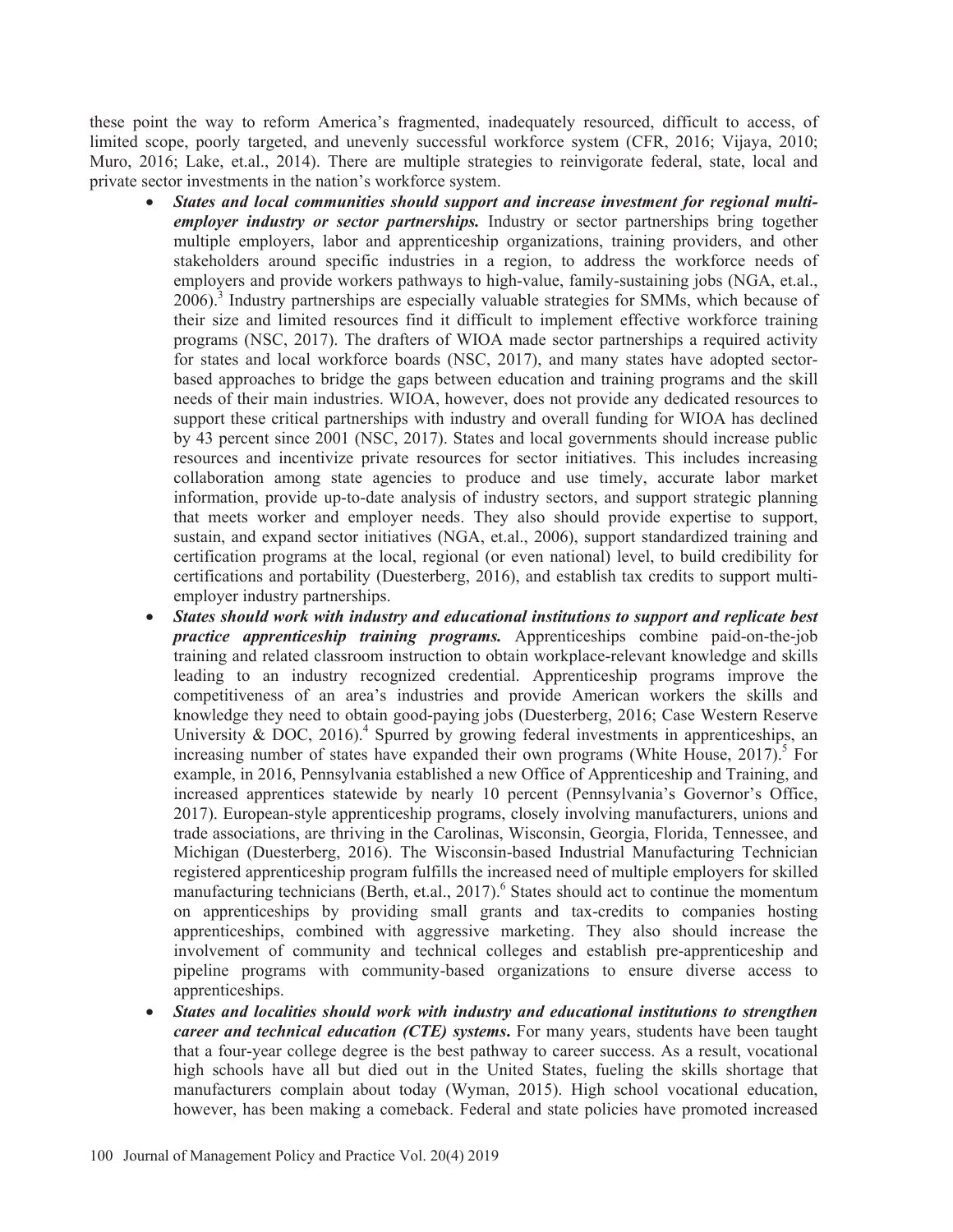these point the way to reform America's fragmented, inadequately resourced, difficult to access, of limited scope, poorly targeted, and unevenly successful workforce system (CFR, 2016; Vijaya, 2010; Muro, 2016; Lake, et.al., 2014). There are multiple strategies to reinvigorate federal, state, local and private sector investments in the nation's workforce system.

- x *States and local communities should support and increase investment for regional multiemployer industry or sector partnerships.* Industry or sector partnerships bring together multiple employers, labor and apprenticeship organizations, training providers, and other stakeholders around specific industries in a region, to address the workforce needs of employers and provide workers pathways to high-value, family-sustaining jobs (NGA, et.al., 2006).<sup>3</sup> Industry partnerships are especially valuable strategies for SMMs, which because of their size and limited resources find it difficult to implement effective workforce training programs (NSC, 2017). The drafters of WIOA made sector partnerships a required activity for states and local workforce boards (NSC, 2017), and many states have adopted sectorbased approaches to bridge the gaps between education and training programs and the skill needs of their main industries. WIOA, however, does not provide any dedicated resources to support these critical partnerships with industry and overall funding for WIOA has declined by 43 percent since 2001 (NSC, 2017). States and local governments should increase public resources and incentivize private resources for sector initiatives. This includes increasing collaboration among state agencies to produce and use timely, accurate labor market information, provide up-to-date analysis of industry sectors, and support strategic planning that meets worker and employer needs. They also should provide expertise to support, sustain, and expand sector initiatives (NGA, et.al., 2006), support standardized training and certification programs at the local, regional (or even national) level, to build credibility for certifications and portability (Duesterberg, 2016), and establish tax credits to support multiemployer industry partnerships.
- x *States should work with industry and educational institutions to support and replicate best practice apprenticeship training programs.* Apprenticeships combine paid-on-the-job training and related classroom instruction to obtain workplace-relevant knowledge and skills leading to an industry recognized credential. Apprenticeship programs improve the competitiveness of an area's industries and provide American workers the skills and knowledge they need to obtain good-paying jobs (Duesterberg, 2016; Case Western Reserve University  $\&$  DOC, 2016).<sup>4</sup> Spurred by growing federal investments in apprenticeships, an increasing number of states have expanded their own programs (White House,  $2017$ ).<sup>5</sup> For example, in 2016, Pennsylvania established a new Office of Apprenticeship and Training, and increased apprentices statewide by nearly 10 percent (Pennsylvania's Governor's Office, 2017). European-style apprenticeship programs, closely involving manufacturers, unions and trade associations, are thriving in the Carolinas, Wisconsin, Georgia, Florida, Tennessee, and Michigan (Duesterberg, 2016). The Wisconsin-based Industrial Manufacturing Technician registered apprenticeship program fulfills the increased need of multiple employers for skilled manufacturing technicians (Berth, et.al., 2017).<sup>6</sup> States should act to continue the momentum on apprenticeships by providing small grants and tax-credits to companies hosting apprenticeships, combined with aggressive marketing. They also should increase the involvement of community and technical colleges and establish pre-apprenticeship and pipeline programs with community-based organizations to ensure diverse access to apprenticeships.
- x *States and localities should work with industry and educational institutions to strengthen career and technical education (CTE) systems*. For many years, students have been taught that a four-year college degree is the best pathway to career success. As a result, vocational high schools have all but died out in the United States, fueling the skills shortage that manufacturers complain about today (Wyman, 2015). High school vocational education, however, has been making a comeback. Federal and state policies have promoted increased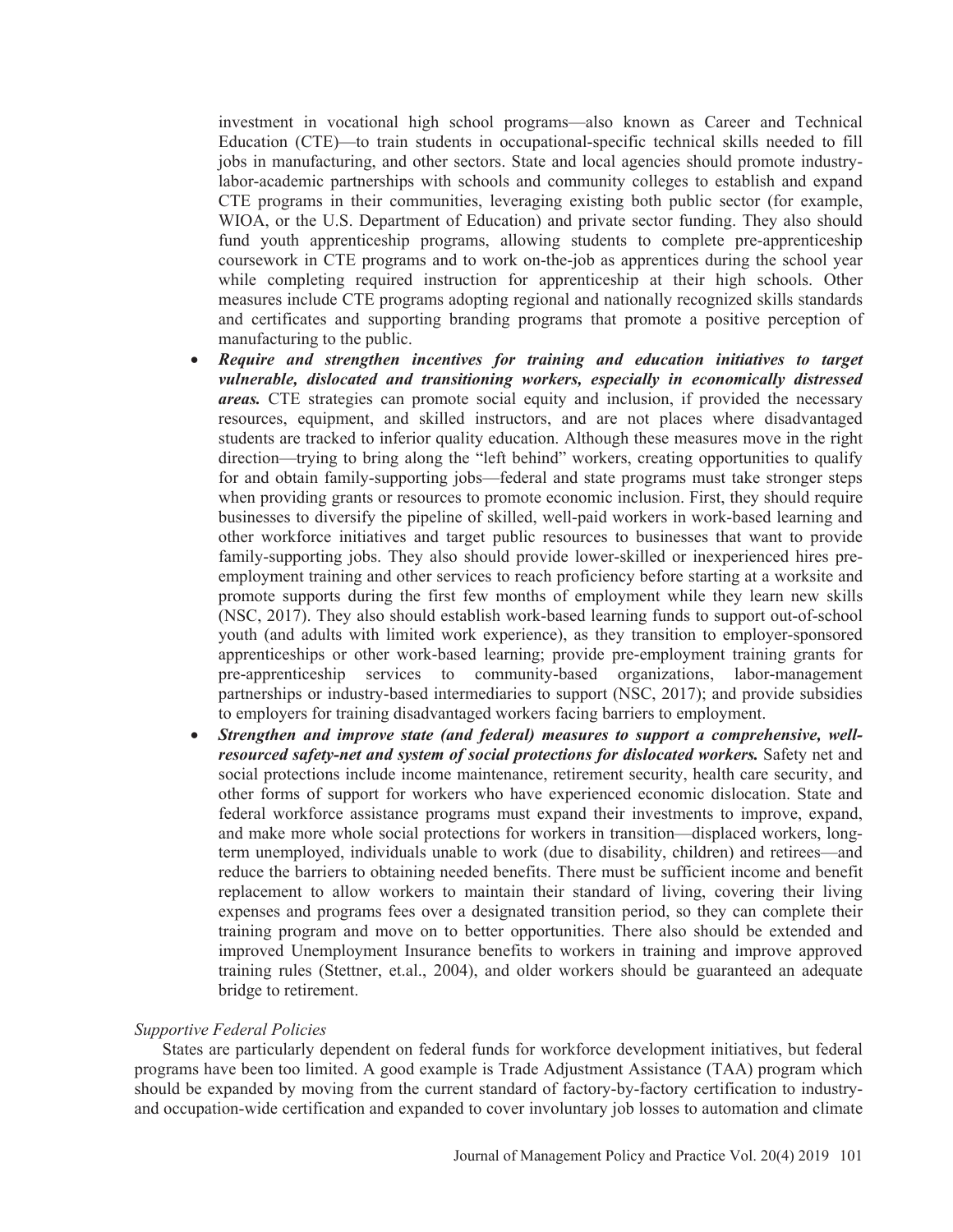investment in vocational high school programs—also known as Career and Technical Education (CTE)—to train students in occupational-specific technical skills needed to fill jobs in manufacturing, and other sectors. State and local agencies should promote industrylabor-academic partnerships with schools and community colleges to establish and expand CTE programs in their communities, leveraging existing both public sector (for example, WIOA, or the U.S. Department of Education) and private sector funding. They also should fund youth apprenticeship programs, allowing students to complete pre-apprenticeship coursework in CTE programs and to work on-the-job as apprentices during the school year while completing required instruction for apprenticeship at their high schools. Other measures include CTE programs adopting regional and nationally recognized skills standards and certificates and supporting branding programs that promote a positive perception of manufacturing to the public.

- x *Require and strengthen incentives for training and education initiatives to target vulnerable, dislocated and transitioning workers, especially in economically distressed areas.* CTE strategies can promote social equity and inclusion, if provided the necessary resources, equipment, and skilled instructors, and are not places where disadvantaged students are tracked to inferior quality education. Although these measures move in the right direction—trying to bring along the "left behind" workers, creating opportunities to qualify for and obtain family-supporting jobs—federal and state programs must take stronger steps when providing grants or resources to promote economic inclusion. First, they should require businesses to diversify the pipeline of skilled, well-paid workers in work-based learning and other workforce initiatives and target public resources to businesses that want to provide family-supporting jobs. They also should provide lower-skilled or inexperienced hires preemployment training and other services to reach proficiency before starting at a worksite and promote supports during the first few months of employment while they learn new skills (NSC, 2017). They also should establish work-based learning funds to support out-of-school youth (and adults with limited work experience), as they transition to employer-sponsored apprenticeships or other work-based learning; provide pre-employment training grants for pre-apprenticeship services to community-based organizations, labor-management partnerships or industry-based intermediaries to support (NSC, 2017); and provide subsidies to employers for training disadvantaged workers facing barriers to employment.
- x *Strengthen and improve state (and federal) measures to support a comprehensive, wellresourced safety-net and system of social protections for dislocated workers.* Safety net and social protections include income maintenance, retirement security, health care security, and other forms of support for workers who have experienced economic dislocation. State and federal workforce assistance programs must expand their investments to improve, expand, and make more whole social protections for workers in transition—displaced workers, longterm unemployed, individuals unable to work (due to disability, children) and retirees—and reduce the barriers to obtaining needed benefits. There must be sufficient income and benefit replacement to allow workers to maintain their standard of living, covering their living expenses and programs fees over a designated transition period, so they can complete their training program and move on to better opportunities. There also should be extended and improved Unemployment Insurance benefits to workers in training and improve approved training rules (Stettner, et.al., 2004), and older workers should be guaranteed an adequate bridge to retirement.

## *Supportive Federal Policies*

States are particularly dependent on federal funds for workforce development initiatives, but federal programs have been too limited. A good example is Trade Adjustment Assistance (TAA) program which should be expanded by moving from the current standard of factory-by-factory certification to industryand occupation-wide certification and expanded to cover involuntary job losses to automation and climate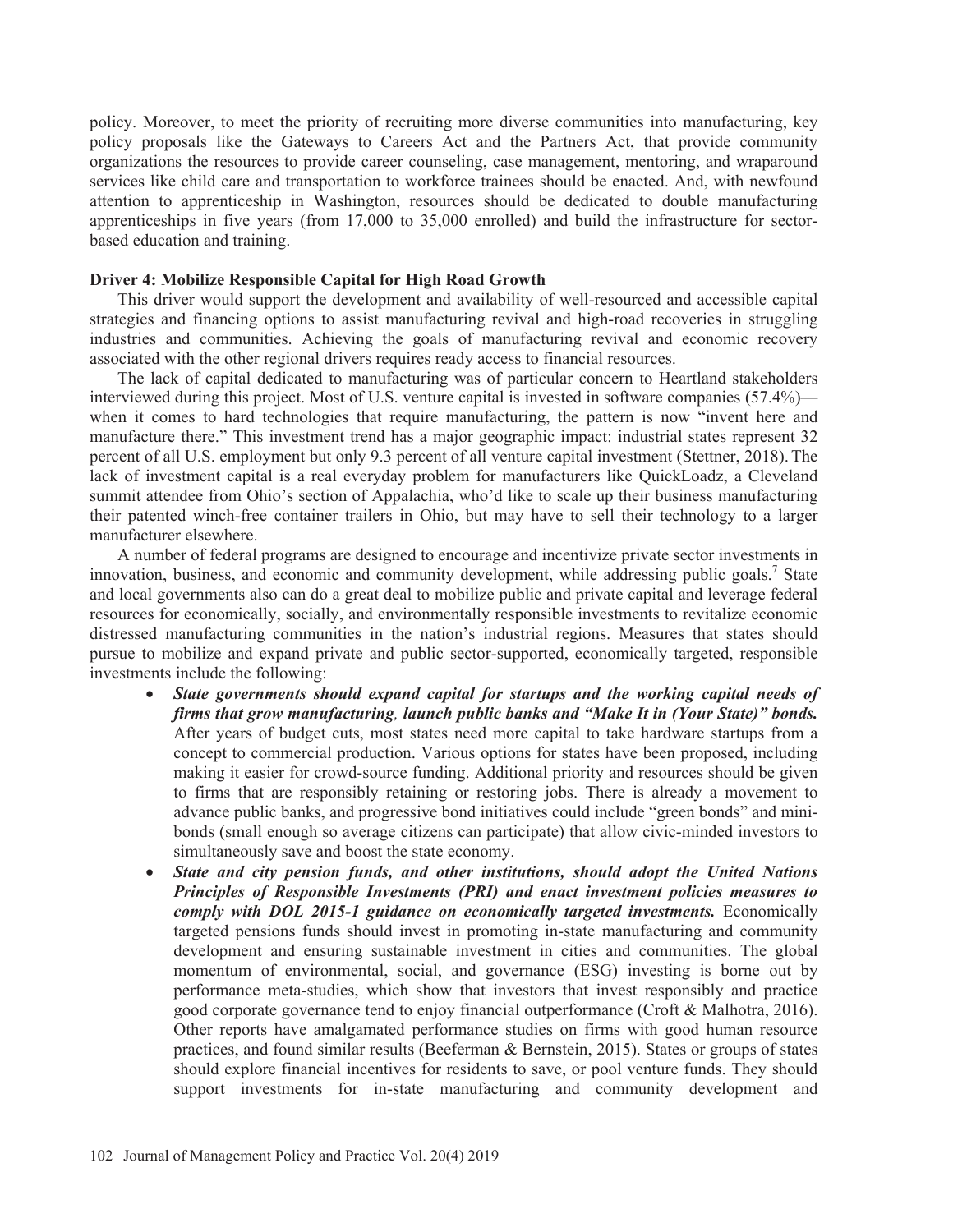policy. Moreover, to meet the priority of recruiting more diverse communities into manufacturing, key policy proposals like the Gateways to Careers Act and the Partners Act, that provide community organizations the resources to provide career counseling, case management, mentoring, and wraparound services like child care and transportation to workforce trainees should be enacted. And, with newfound attention to apprenticeship in Washington, resources should be dedicated to double manufacturing apprenticeships in five years (from 17,000 to 35,000 enrolled) and build the infrastructure for sectorbased education and training.

#### **Driver 4: Mobilize Responsible Capital for High Road Growth**

This driver would support the development and availability of well-resourced and accessible capital strategies and financing options to assist manufacturing revival and high-road recoveries in struggling industries and communities. Achieving the goals of manufacturing revival and economic recovery associated with the other regional drivers requires ready access to financial resources.

The lack of capital dedicated to manufacturing was of particular concern to Heartland stakeholders interviewed during this project. Most of U.S. venture capital is invested in software companies (57.4%) when it comes to hard technologies that require manufacturing, the pattern is now "invent here and manufacture there." This investment trend has a major geographic impact: industrial states represent 32 percent of all U.S. employment but only 9.3 percent of all venture capital investment (Stettner, 2018).The lack of investment capital is a real everyday problem for manufacturers like QuickLoadz, a Cleveland summit attendee from Ohio's section of Appalachia, who'd like to scale up their business manufacturing their patented winch-free container trailers in Ohio, but may have to sell their technology to a larger manufacturer elsewhere.

A number of federal programs are designed to encourage and incentivize private sector investments in innovation, business, and economic and community development, while addressing public goals.<sup>7</sup> State and local governments also can do a great deal to mobilize public and private capital and leverage federal resources for economically, socially, and environmentally responsible investments to revitalize economic distressed manufacturing communities in the nation's industrial regions. Measures that states should pursue to mobilize and expand private and public sector-supported, economically targeted, responsible investments include the following:

- x *State governments should expand capital for startups and the working capital needs of firms that grow manufacturing, launch public banks and "Make It in (Your State)" bonds.* After years of budget cuts, most states need more capital to take hardware startups from a concept to commercial production. Various options for states have been proposed, including making it easier for crowd-source funding. Additional priority and resources should be given to firms that are responsibly retaining or restoring jobs. There is already a movement to advance public banks, and progressive bond initiatives could include "green bonds" and minibonds (small enough so average citizens can participate) that allow civic-minded investors to simultaneously save and boost the state economy.
- State and city pension funds, and other institutions, should adopt the United Nations *Principles of Responsible Investments (PRI) and enact investment policies measures to comply with DOL 2015-1 guidance on economically targeted investments.* Economically targeted pensions funds should invest in promoting in-state manufacturing and community development and ensuring sustainable investment in cities and communities. The global momentum of environmental, social, and governance (ESG) investing is borne out by performance meta-studies, which show that investors that invest responsibly and practice good corporate governance tend to enjoy financial outperformance (Croft & Malhotra, 2016). Other reports have amalgamated performance studies on firms with good human resource practices, and found similar results (Beeferman & Bernstein, 2015). States or groups of states should explore financial incentives for residents to save, or pool venture funds. They should support investments for in-state manufacturing and community development and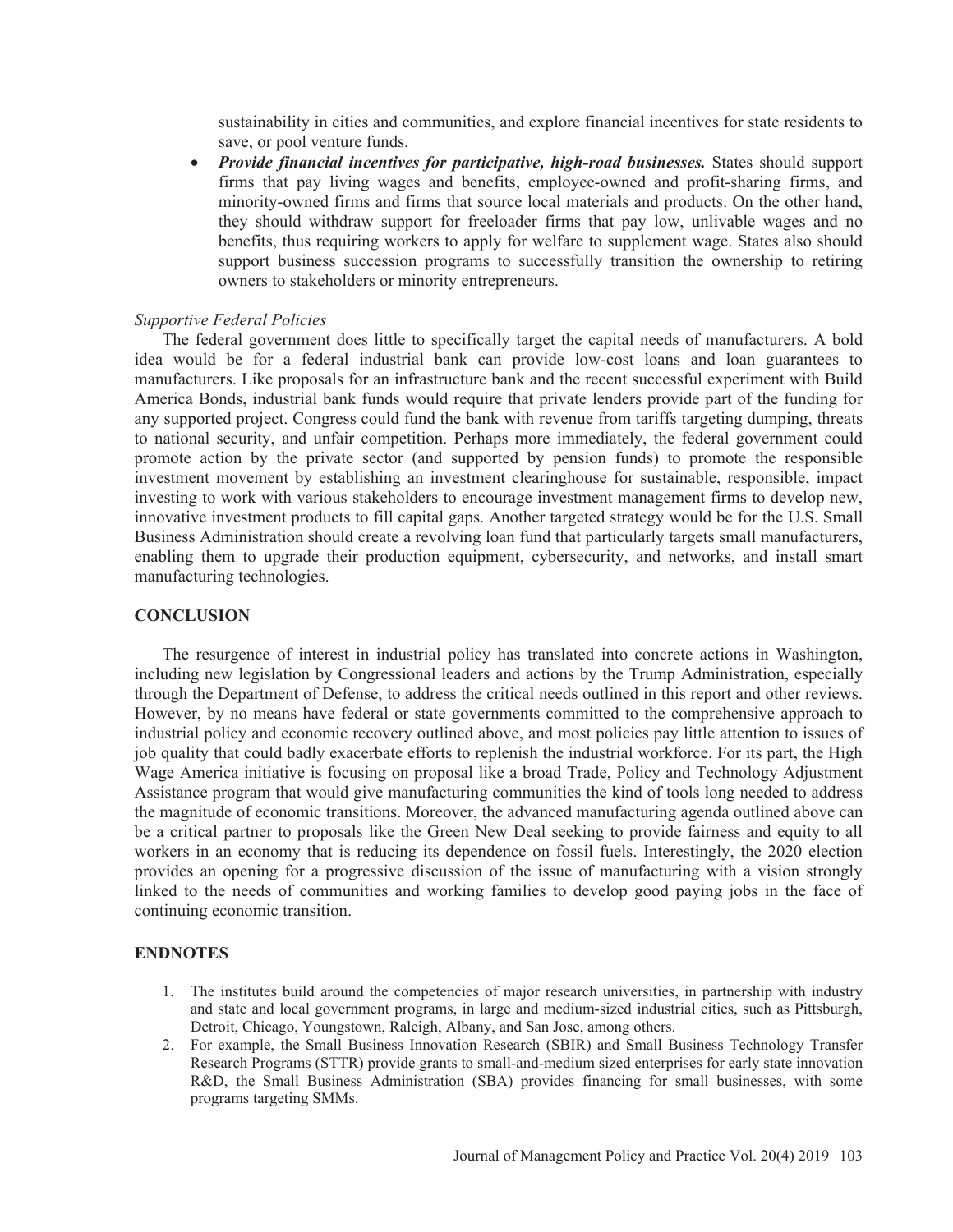sustainability in cities and communities, and explore financial incentives for state residents to save, or pool venture funds.

• *Provide financial incentives for participative, high-road businesses.* States should support firms that pay living wages and benefits, employee-owned and profit-sharing firms, and minority-owned firms and firms that source local materials and products. On the other hand, they should withdraw support for freeloader firms that pay low, unlivable wages and no benefits, thus requiring workers to apply for welfare to supplement wage. States also should support business succession programs to successfully transition the ownership to retiring owners to stakeholders or minority entrepreneurs.

## *Supportive Federal Policies*

The federal government does little to specifically target the capital needs of manufacturers. A bold idea would be for a federal industrial bank can provide low-cost loans and loan guarantees to manufacturers. Like proposals for an infrastructure bank and the recent successful experiment with Build America Bonds, industrial bank funds would require that private lenders provide part of the funding for any supported project. Congress could fund the bank with revenue from tariffs targeting dumping, threats to national security, and unfair competition. Perhaps more immediately, the federal government could promote action by the private sector (and supported by pension funds) to promote the responsible investment movement by establishing an investment clearinghouse for sustainable, responsible, impact investing to work with various stakeholders to encourage investment management firms to develop new, innovative investment products to fill capital gaps. Another targeted strategy would be for the U.S. Small Business Administration should create a revolving loan fund that particularly targets small manufacturers, enabling them to upgrade their production equipment, cybersecurity, and networks, and install smart manufacturing technologies.

# **CONCLUSION**

The resurgence of interest in industrial policy has translated into concrete actions in Washington, including new legislation by Congressional leaders and actions by the Trump Administration, especially through the Department of Defense, to address the critical needs outlined in this report and other reviews. However, by no means have federal or state governments committed to the comprehensive approach to industrial policy and economic recovery outlined above, and most policies pay little attention to issues of job quality that could badly exacerbate efforts to replenish the industrial workforce. For its part, the High Wage America initiative is focusing on proposal like a broad Trade, Policy and Technology Adjustment Assistance program that would give manufacturing communities the kind of tools long needed to address the magnitude of economic transitions. Moreover, the advanced manufacturing agenda outlined above can be a critical partner to proposals like the Green New Deal seeking to provide fairness and equity to all workers in an economy that is reducing its dependence on fossil fuels. Interestingly, the 2020 election provides an opening for a progressive discussion of the issue of manufacturing with a vision strongly linked to the needs of communities and working families to develop good paying jobs in the face of continuing economic transition.

#### **ENDNOTES**

- 1. The institutes build around the competencies of major research universities, in partnership with industry and state and local government programs, in large and medium-sized industrial cities, such as Pittsburgh, Detroit, Chicago, Youngstown, Raleigh, Albany, and San Jose, among others.
- 2. For example, the Small Business Innovation Research (SBIR) and Small Business Technology Transfer Research Programs (STTR) provide grants to small-and-medium sized enterprises for early state innovation R&D, the Small Business Administration (SBA) provides financing for small businesses, with some programs targeting SMMs.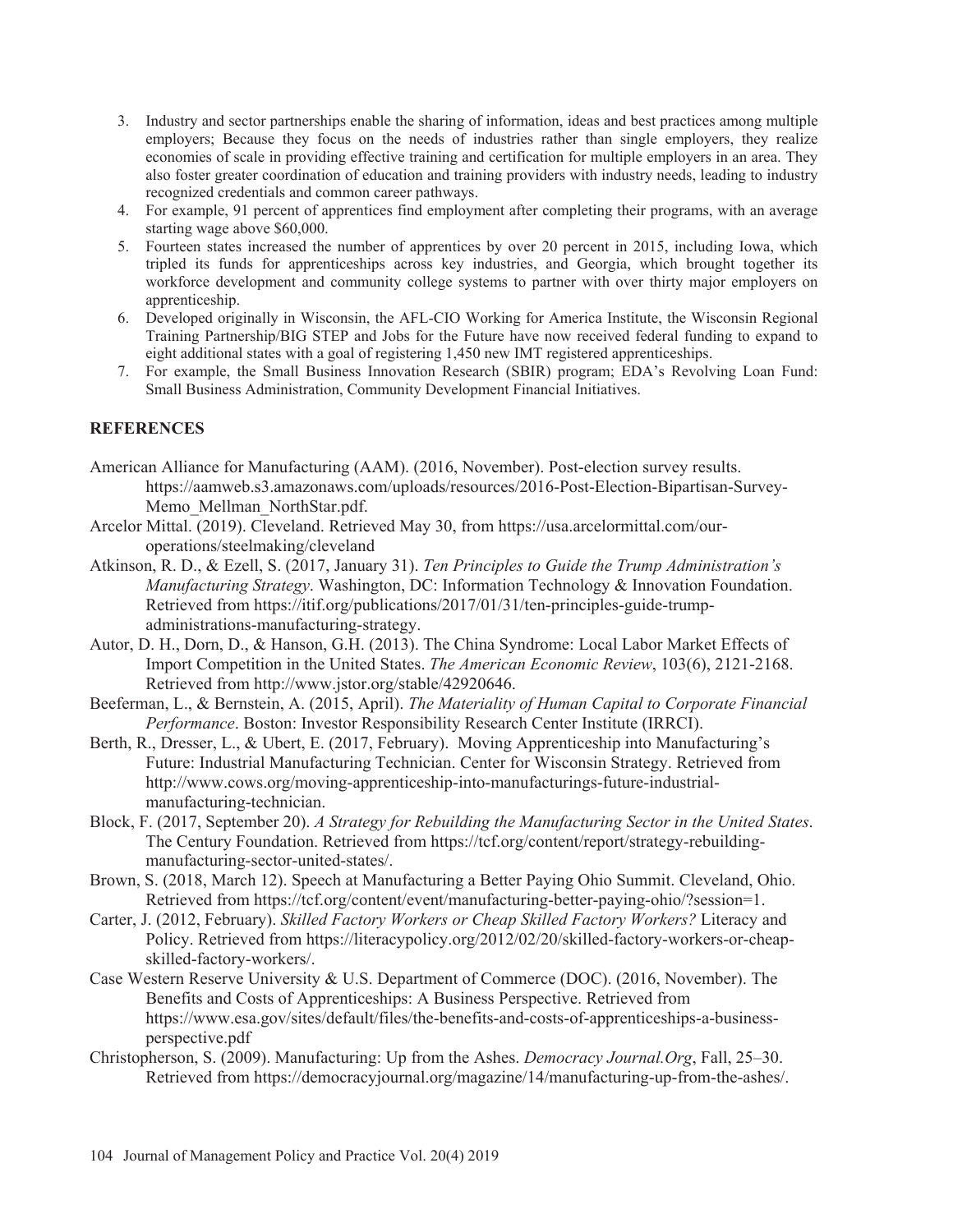- 3. Industry and sector partnerships enable the sharing of information, ideas and best practices among multiple employers; Because they focus on the needs of industries rather than single employers, they realize economies of scale in providing effective training and certification for multiple employers in an area. They also foster greater coordination of education and training providers with industry needs, leading to industry recognized credentials and common career pathways.
- 4. For example, 91 percent of apprentices find employment after completing their programs, with an average starting wage above \$60,000.
- 5. Fourteen states increased the number of apprentices by over 20 percent in 2015, including Iowa, which tripled its funds for apprenticeships across key industries, and Georgia, which brought together its workforce development and community college systems to partner with over thirty major employers on apprenticeship.
- 6. Developed originally in Wisconsin, the AFL-CIO Working for America Institute, the Wisconsin Regional Training Partnership/BIG STEP and Jobs for the Future have now received federal funding to expand to eight additional states with a goal of registering 1,450 new IMT registered apprenticeships.
- 7. For example, the Small Business Innovation Research (SBIR) program; EDA's Revolving Loan Fund: Small Business Administration, Community Development Financial Initiatives.

# **REFERENCES**

- American Alliance for Manufacturing (AAM). (2016, November). Post-election survey results. https://aamweb.s3.amazonaws.com/uploads/resources/2016-Post-Election-Bipartisan-Survey-Memo\_Mellman\_NorthStar.pdf.
- Arcelor Mittal. (2019). Cleveland. Retrieved May 30, from https://usa.arcelormittal.com/ouroperations/steelmaking/cleveland
- Atkinson, R. D., & Ezell, S. (2017, January 31). *Ten Principles to Guide the Trump Administration's Manufacturing Strategy*. Washington, DC: Information Technology & Innovation Foundation. Retrieved from https://itif.org/publications/2017/01/31/ten-principles-guide-trumpadministrations-manufacturing-strategy.
- Autor, D. H., Dorn, D., & Hanson, G.H. (2013). The China Syndrome: Local Labor Market Effects of Import Competition in the United States. *The American Economic Review*, 103(6), 2121-2168. Retrieved from http://www.jstor.org/stable/42920646.
- Beeferman, L., & Bernstein, A. (2015, April). *The Materiality of Human Capital to Corporate Financial Performance*. Boston: Investor Responsibility Research Center Institute (IRRCI).
- Berth, R., Dresser, L., & Ubert, E. (2017, February). Moving Apprenticeship into Manufacturing's Future: Industrial Manufacturing Technician. Center for Wisconsin Strategy. Retrieved from http://www.cows.org/moving-apprenticeship-into-manufacturings-future-industrialmanufacturing-technician.
- Block, F. (2017, September 20). *A Strategy for Rebuilding the Manufacturing Sector in the United States*. The Century Foundation. Retrieved from https://tcf.org/content/report/strategy-rebuildingmanufacturing-sector-united-states/.
- Brown, S. (2018, March 12). Speech at Manufacturing a Better Paying Ohio Summit. Cleveland, Ohio. Retrieved from https://tcf.org/content/event/manufacturing-better-paying-ohio/?session=1.
- Carter, J. (2012, February). *Skilled Factory Workers or Cheap Skilled Factory Workers?* Literacy and Policy. Retrieved from https://literacypolicy.org/2012/02/20/skilled-factory-workers-or-cheapskilled-factory-workers/.
- Case Western Reserve University & U.S. Department of Commerce (DOC). (2016, November). The Benefits and Costs of Apprenticeships: A Business Perspective. Retrieved from https://www.esa.gov/sites/default/files/the-benefits-and-costs-of-apprenticeships-a-businessperspective.pdf
- Christopherson, S. (2009). Manufacturing: Up from the Ashes. *Democracy Journal.Org*, Fall, 25–30. Retrieved from https://democracyjournal.org/magazine/14/manufacturing-up-from-the-ashes/.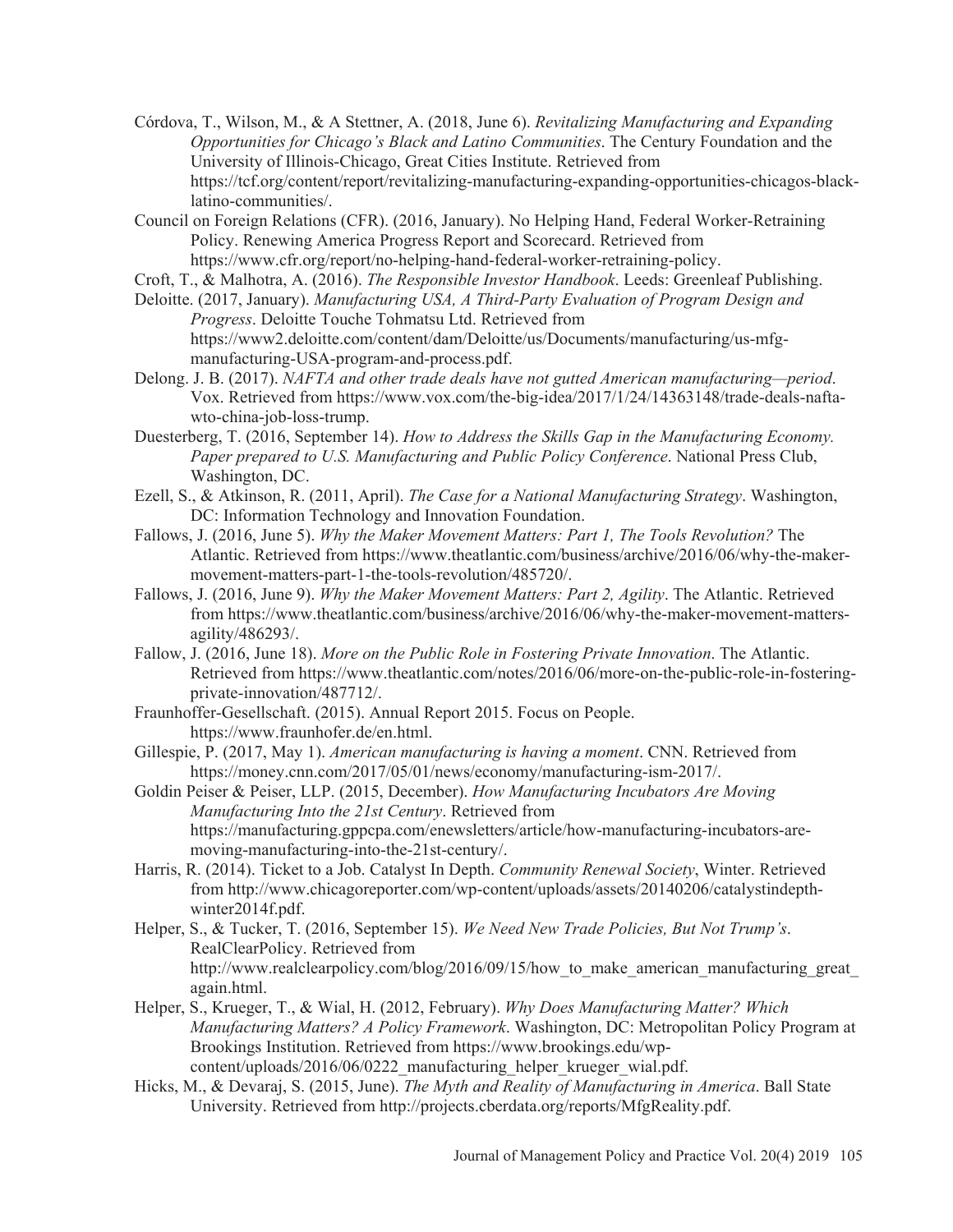Córdova, T., Wilson, M. & A Stettner, A. (2018, June 6). *Revitalizing Manufacturing and Expanding Opportunities for Chicago's Black and Latino Communities*. The Century Foundation and the University of Illinois-Chicago, Great Cities Institute. Retrieved from https://tcf.org/content/report/revitalizing-manufacturing-expanding-opportunities-chicagos-blacklatino-communities/.

Council on Foreign Relations (CFR). (2016, January). No Helping Hand, Federal Worker-Retraining Policy. Renewing America Progress Report and Scorecard. Retrieved from https://www.cfr.org/report/no-helping-hand-federal-worker-retraining-policy.

- Croft, T., & Malhotra, A. (2016). *The Responsible Investor Handbook*. Leeds: Greenleaf Publishing.
- Deloitte. (2017, January). *Manufacturing USA, A Third-Party Evaluation of Program Design and Progress*. Deloitte Touche Tohmatsu Ltd. Retrieved from https://www2.deloitte.com/content/dam/Deloitte/us/Documents/manufacturing/us-mfgmanufacturing-USA-program-and-process.pdf.
- Delong. J. B. (2017). *NAFTA and other trade deals have not gutted American manufacturing—period*. Vox. Retrieved from https://www.vox.com/the-big-idea/2017/1/24/14363148/trade-deals-naftawto-china-job-loss-trump.
- Duesterberg, T. (2016, September 14). *How to Address the Skills Gap in the Manufacturing Economy. Paper prepared to U.S. Manufacturing and Public Policy Conference*. National Press Club, Washington, DC.
- Ezell, S., & Atkinson, R. (2011, April). *The Case for a National Manufacturing Strategy*. Washington, DC: Information Technology and Innovation Foundation.
- Fallows, J. (2016, June 5). *Why the Maker Movement Matters: Part 1, The Tools Revolution?* The Atlantic. Retrieved from https://www.theatlantic.com/business/archive/2016/06/why-the-makermovement-matters-part-1-the-tools-revolution/485720/.
- Fallows, J. (2016, June 9). *Why the Maker Movement Matters: Part 2, Agility*. The Atlantic. Retrieved from https://www.theatlantic.com/business/archive/2016/06/why-the-maker-movement-mattersagility/486293/.
- Fallow, J. (2016, June 18). *More on the Public Role in Fostering Private Innovation*. The Atlantic. Retrieved from https://www.theatlantic.com/notes/2016/06/more-on-the-public-role-in-fosteringprivate-innovation/487712/.
- Fraunhoffer-Gesellschaft. (2015). Annual Report 2015. Focus on People. https://www.fraunhofer.de/en.html.
- Gillespie, P. (2017, May 1). *American manufacturing is having a moment*. CNN. Retrieved from https://money.cnn.com/2017/05/01/news/economy/manufacturing-ism-2017/.

Goldin Peiser & Peiser, LLP. (2015, December). *How Manufacturing Incubators Are Moving Manufacturing Into the 21st Century*. Retrieved from https://manufacturing.gppcpa.com/enewsletters/article/how-manufacturing-incubators-aremoving-manufacturing-into-the-21st-century/.

- Harris, R. (2014). Ticket to a Job. Catalyst In Depth. *Community Renewal Society*, Winter. Retrieved from http://www.chicagoreporter.com/wp-content/uploads/assets/20140206/catalystindepthwinter2014f.pdf.
- Helper, S., & Tucker, T. (2016, September 15). *We Need New Trade Policies, But Not Trump's*. RealClearPolicy. Retrieved from http://www.realclearpolicy.com/blog/2016/09/15/how to make american manufacturing great again.html.
- Helper, S., Krueger, T., & Wial, H. (2012, February). *Why Does Manufacturing Matter? Which Manufacturing Matters? A Policy Framework*. Washington, DC: Metropolitan Policy Program at Brookings Institution. Retrieved from https://www.brookings.edu/wpcontent/uploads/2016/06/0222 manufacturing helper krueger wial.pdf.
- Hicks, M., & Devaraj, S. (2015, June). *The Myth and Reality of Manufacturing in America*. Ball State University. Retrieved from http://projects.cberdata.org/reports/MfgReality.pdf.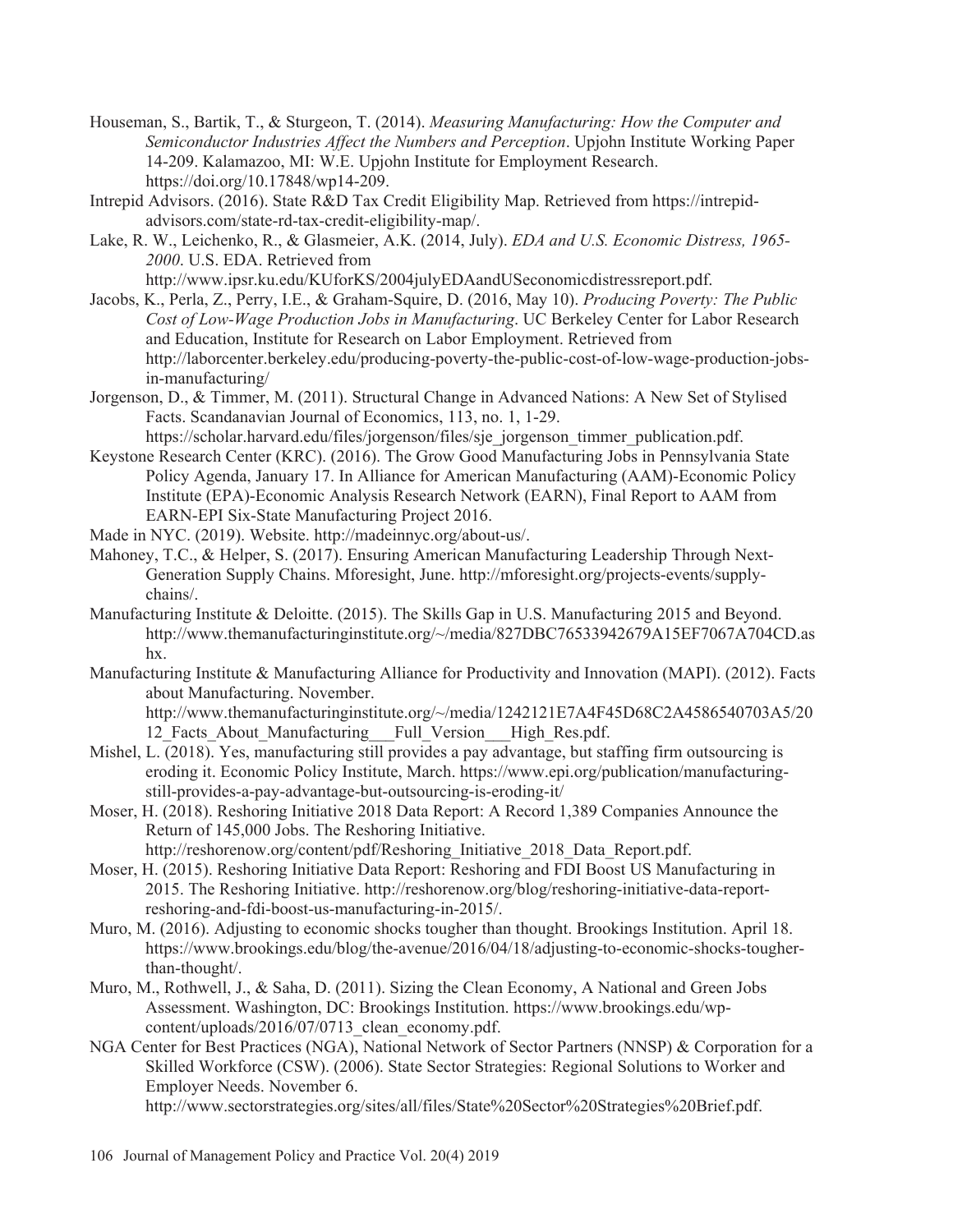- Houseman, S., Bartik, T., & Sturgeon, T. (2014). *Measuring Manufacturing: How the Computer and Semiconductor Industries Affect the Numbers and Perception*. Upjohn Institute Working Paper 14-209. Kalamazoo, MI: W.E. Upjohn Institute for Employment Research. https://doi.org/10.17848/wp14-209.
- Intrepid Advisors. (2016). State R&D Tax Credit Eligibility Map. Retrieved from https://intrepidadvisors.com/state-rd-tax-credit-eligibility-map/.
- Lake, R. W., Leichenko, R., & Glasmeier, A.K. (2014, July). *EDA and U.S. Economic Distress, 1965- 2000*. U.S. EDA. Retrieved from

http://www.ipsr.ku.edu/KUforKS/2004julyEDAandUSeconomicdistressreport.pdf.

- Jacobs, K., Perla, Z., Perry, I.E., & Graham-Squire, D. (2016, May 10). *Producing Poverty: The Public Cost of Low-Wage Production Jobs in Manufacturing*. UC Berkeley Center for Labor Research and Education, Institute for Research on Labor Employment. Retrieved from http://laborcenter.berkeley.edu/producing-poverty-the-public-cost-of-low-wage-production-jobsin-manufacturing/
- Jorgenson, D., & Timmer, M. (2011). Structural Change in Advanced Nations: A New Set of Stylised Facts. Scandanavian Journal of Economics, 113, no. 1, 1-29.

https://scholar.harvard.edu/files/jorgenson/files/sje\_jorgenson\_timmer\_publication.pdf.

- Keystone Research Center (KRC). (2016). The Grow Good Manufacturing Jobs in Pennsylvania State Policy Agenda, January 17. In Alliance for American Manufacturing (AAM)-Economic Policy Institute (EPA)-Economic Analysis Research Network (EARN), Final Report to AAM from EARN-EPI Six-State Manufacturing Project 2016.
- Made in NYC. (2019). Website. http://madeinnyc.org/about-us/.
- Mahoney, T.C. & Helper, S. (2017). Ensuring American Manufacturing Leadership Through Next-Generation Supply Chains. Mforesight, June. http://mforesight.org/projects-events/supplychains/.
- Manufacturing Institute & Deloitte. (2015). The Skills Gap in U.S. Manufacturing 2015 and Beyond. http://www.themanufacturinginstitute.org/~/media/827DBC76533942679A15EF7067A704CD.as hx.
- Manufacturing Institute & Manufacturing Alliance for Productivity and Innovation (MAPI). (2012). Facts about Manufacturing. November.

http://www.themanufacturinginstitute.org/~/media/1242121E7A4F45D68C2A4586540703A5/20 12 Facts About Manufacturing Full Version High Res.pdf.

- Mishel, L. (2018). Yes, manufacturing still provides a pay advantage, but staffing firm outsourcing is eroding it. Economic Policy Institute, March. https://www.epi.org/publication/manufacturingstill-provides-a-pay-advantage-but-outsourcing-is-eroding-it/
- Moser, H. (2018). Reshoring Initiative 2018 Data Report: A Record 1,389 Companies Announce the Return of 145,000 Jobs. The Reshoring Initiative.

http://reshorenow.org/content/pdf/Reshoring\_Initiative\_2018\_Data\_Report.pdf.

- Moser, H. (2015). Reshoring Initiative Data Report: Reshoring and FDI Boost US Manufacturing in 2015. The Reshoring Initiative. http://reshorenow.org/blog/reshoring-initiative-data-reportreshoring-and-fdi-boost-us-manufacturing-in-2015/.
- Muro, M. (2016). Adjusting to economic shocks tougher than thought. Brookings Institution. April 18. https://www.brookings.edu/blog/the-avenue/2016/04/18/adjusting-to-economic-shocks-tougherthan-thought/.
- Muro, M., Rothwell, J. & Saha, D. (2011). Sizing the Clean Economy, A National and Green Jobs Assessment. Washington, DC: Brookings Institution. https://www.brookings.edu/wpcontent/uploads/2016/07/0713 clean economy.pdf.
- NGA Center for Best Practices (NGA), National Network of Sector Partners (NNSP) & Corporation for a Skilled Workforce (CSW). (2006). State Sector Strategies: Regional Solutions to Worker and Employer Needs. November 6.

http://www.sectorstrategies.org/sites/all/files/State%20Sector%20Strategies%20Brief.pdf.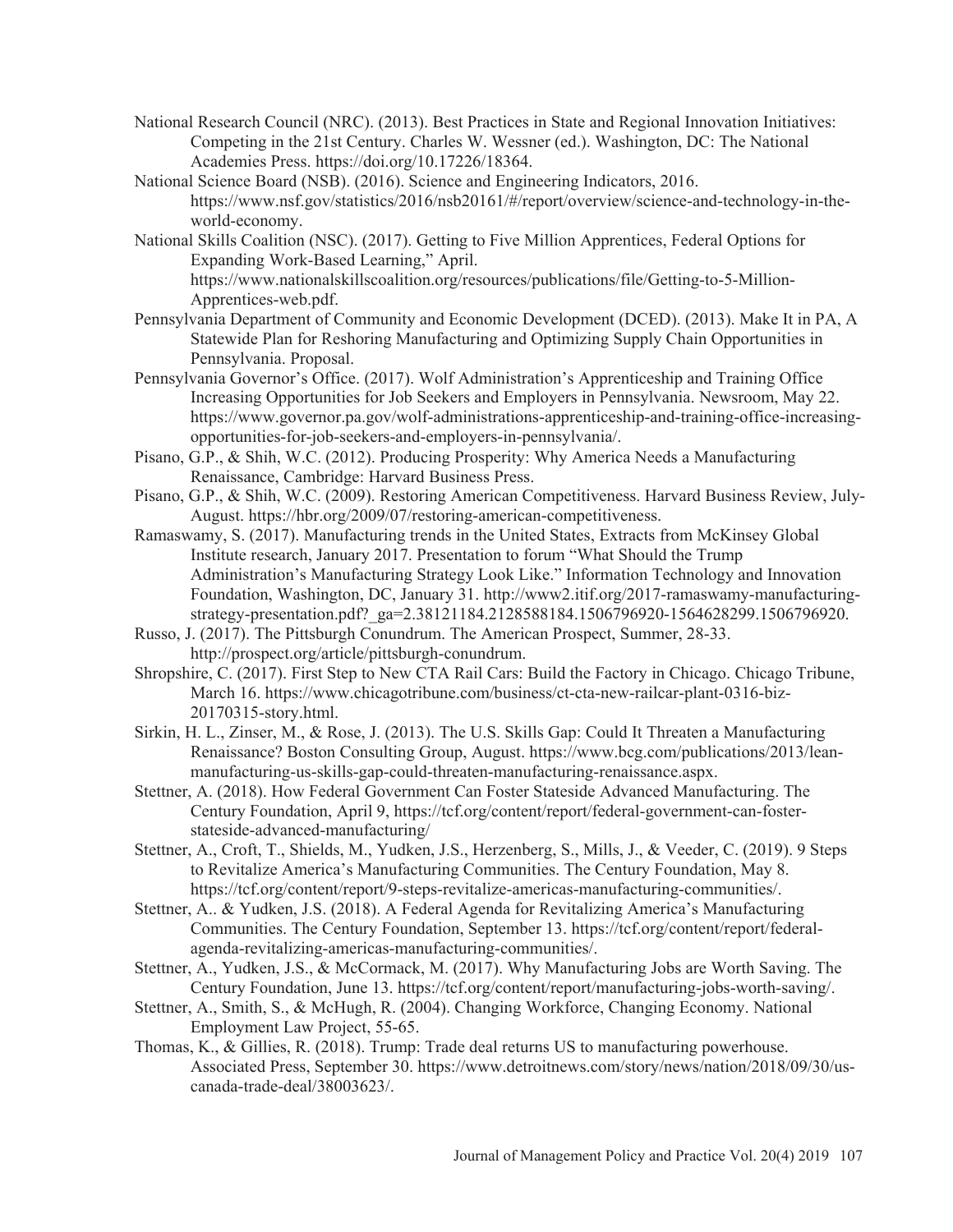- National Research Council (NRC). (2013). Best Practices in State and Regional Innovation Initiatives: Competing in the 21st Century. Charles W. Wessner (ed.). Washington, DC: The National Academies Press. https://doi.org/10.17226/18364.
- National Science Board (NSB). (2016). Science and Engineering Indicators, 2016. https://www.nsf.gov/statistics/2016/nsb20161/#/report/overview/science-and-technology-in-theworld-economy.
- National Skills Coalition (NSC). (2017). Getting to Five Million Apprentices, Federal Options for Expanding Work-Based Learning," April. https://www.nationalskillscoalition.org/resources/publications/file/Getting-to-5-Million-Apprentices-web.pdf.
- Pennsylvania Department of Community and Economic Development (DCED). (2013). Make It in PA, A Statewide Plan for Reshoring Manufacturing and Optimizing Supply Chain Opportunities in Pennsylvania. Proposal.
- Pennsylvania Governor's Office. (2017). Wolf Administration's Apprenticeship and Training Office Increasing Opportunities for Job Seekers and Employers in Pennsylvania. Newsroom, May 22. https://www.governor.pa.gov/wolf-administrations-apprenticeship-and-training-office-increasingopportunities-for-job-seekers-and-employers-in-pennsylvania/.
- Pisano, G.P. & Shih, W.C. (2012). Producing Prosperity: Why America Needs a Manufacturing Renaissance, Cambridge: Harvard Business Press.
- Pisano, G.P. & Shih, W.C. (2009). Restoring American Competitiveness. Harvard Business Review, July-August. https://hbr.org/2009/07/restoring-american-competitiveness.
- Ramaswamy, S. (2017). Manufacturing trends in the United States, Extracts from McKinsey Global Institute research, January 2017. Presentation to forum "What Should the Trump Administration's Manufacturing Strategy Look Like." Information Technology and Innovation Foundation, Washington, DC, January 31. http://www2.itif.org/2017-ramaswamy-manufacturingstrategy-presentation.pdf?\_ga=2.38121184.2128588184.1506796920-1564628299.1506796920.
- Russo, J. (2017). The Pittsburgh Conundrum. The American Prospect, Summer, 28-33. http://prospect.org/article/pittsburgh-conundrum.
- Shropshire, C. (2017). First Step to New CTA Rail Cars: Build the Factory in Chicago. Chicago Tribune, March 16. https://www.chicagotribune.com/business/ct-cta-new-railcar-plant-0316-biz-20170315-story.html.
- Sirkin, H. L., Zinser, M., & Rose, J. (2013). The U.S. Skills Gap: Could It Threaten a Manufacturing Renaissance? Boston Consulting Group, August. https://www.bcg.com/publications/2013/leanmanufacturing-us-skills-gap-could-threaten-manufacturing-renaissance.aspx.
- Stettner, A. (2018). How Federal Government Can Foster Stateside Advanced Manufacturing. The Century Foundation, April 9, https://tcf.org/content/report/federal-government-can-fosterstateside-advanced-manufacturing/
- Stettner, A., Croft, T., Shields, M., Yudken, J.S., Herzenberg, S., Mills, J., & Veeder, C. (2019). 9 Steps to Revitalize America's Manufacturing Communities. The Century Foundation, May 8. https://tcf.org/content/report/9-steps-revitalize-americas-manufacturing-communities/.
- Stettner, A. & Yudken, J.S. (2018). A Federal Agenda for Revitalizing America's Manufacturing Communities. The Century Foundation, September 13. https://tcf.org/content/report/federalagenda-revitalizing-americas-manufacturing-communities/.
- Stettner, A., Yudken, J.S. & McCormack, M. (2017). Why Manufacturing Jobs are Worth Saving. The Century Foundation, June 13. https://tcf.org/content/report/manufacturing-jobs-worth-saving/.
- Stettner, A., Smith, S. & McHugh, R. (2004). Changing Workforce, Changing Economy. National Employment Law Project, 55-65.
- Thomas, K. & Gillies, R. (2018). Trump: Trade deal returns US to manufacturing powerhouse. Associated Press, September 30. https://www.detroitnews.com/story/news/nation/2018/09/30/uscanada-trade-deal/38003623/.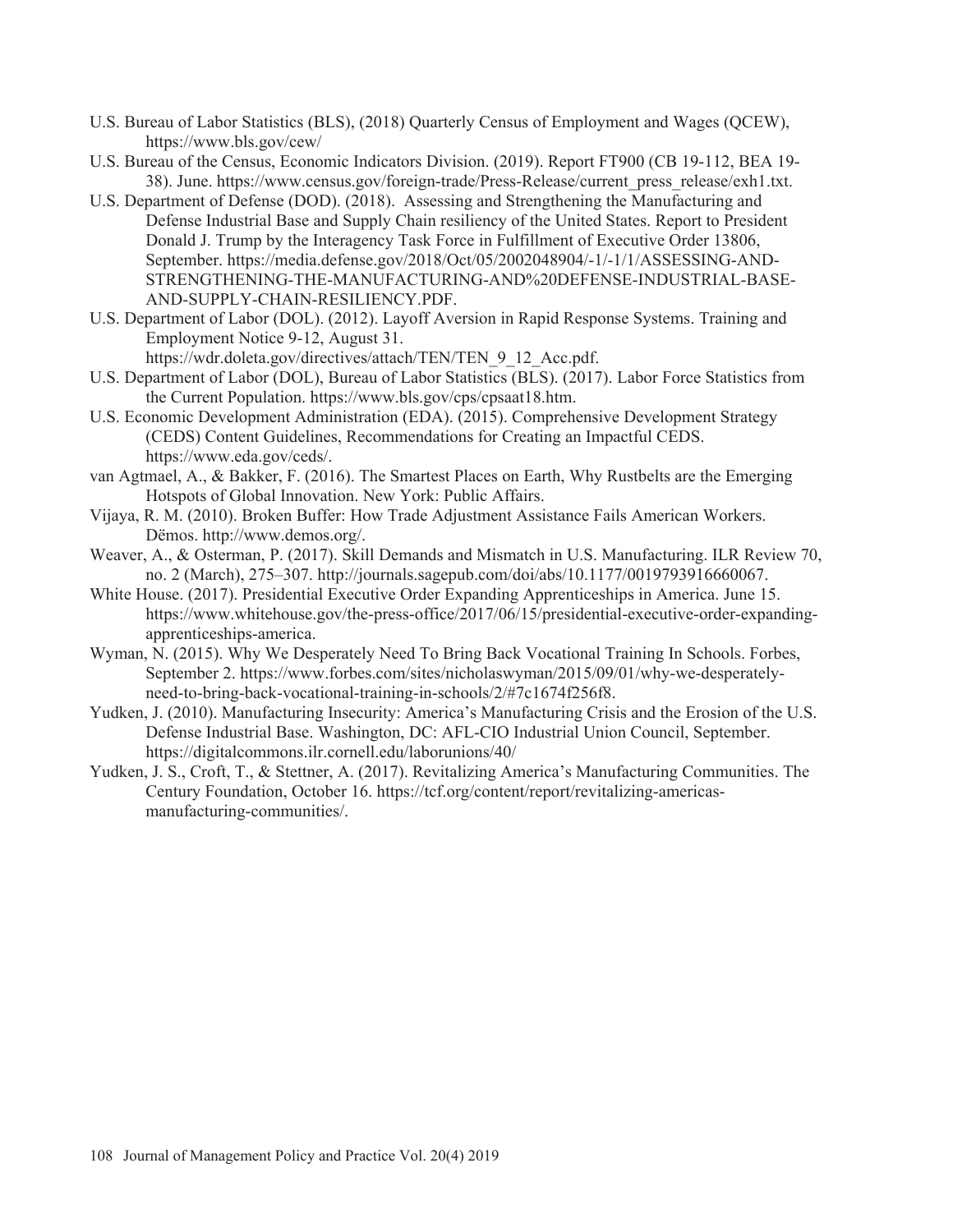- U.S. Bureau of Labor Statistics (BLS), (2018) Quarterly Census of Employment and Wages (QCEW), https://www.bls.gov/cew/
- U.S. Bureau of the Census, Economic Indicators Division. (2019). Report FT900 (CB 19-112, BEA 19- 38). June. https://www.census.gov/foreign-trade/Press-Release/current\_press\_release/exh1.txt.
- U.S. Department of Defense (DOD). (2018). Assessing and Strengthening the Manufacturing and Defense Industrial Base and Supply Chain resiliency of the United States. Report to President Donald J. Trump by the Interagency Task Force in Fulfillment of Executive Order 13806, September. https://media.defense.gov/2018/Oct/05/2002048904/-1/-1/1/ASSESSING-AND-STRENGTHENING-THE-MANUFACTURING-AND%20DEFENSE-INDUSTRIAL-BASE-AND-SUPPLY-CHAIN-RESILIENCY.PDF.
- U.S. Department of Labor (DOL). (2012). Layoff Aversion in Rapid Response Systems. Training and Employment Notice 9-12, August 31.
	- https://wdr.doleta.gov/directives/attach/TEN/TEN\_9\_12\_Acc.pdf.
- U.S. Department of Labor (DOL), Bureau of Labor Statistics (BLS). (2017). Labor Force Statistics from the Current Population. https://www.bls.gov/cps/cpsaat18.htm.
- U.S. Economic Development Administration (EDA). (2015). Comprehensive Development Strategy (CEDS) Content Guidelines, Recommendations for Creating an Impactful CEDS. https://www.eda.gov/ceds/.
- van Agtmael, A. & Bakker, F. (2016). The Smartest Places on Earth, Why Rustbelts are the Emerging Hotspots of Global Innovation. New York: Public Affairs.
- Vijaya, R. M. (2010). Broken Buffer: How Trade Adjustment Assistance Fails American Workers. Dëmos. http://www.demos.org/.
- Weaver, A. & Osterman, P. (2017). Skill Demands and Mismatch in U.S. Manufacturing. ILR Review 70, no. 2 (March), 275–307. http://journals.sagepub.com/doi/abs/10.1177/0019793916660067.
- White House. (2017). Presidential Executive Order Expanding Apprenticeships in America. June 15. https://www.whitehouse.gov/the-press-office/2017/06/15/presidential-executive-order-expandingapprenticeships-america.
- Wyman, N. (2015). Why We Desperately Need To Bring Back Vocational Training In Schools. Forbes, September 2. https://www.forbes.com/sites/nicholaswyman/2015/09/01/why-we-desperatelyneed-to-bring-back-vocational-training-in-schools/2/#7c1674f256f8.
- Yudken, J. (2010). Manufacturing Insecurity: America's Manufacturing Crisis and the Erosion of the U.S. Defense Industrial Base. Washington, DC: AFL-CIO Industrial Union Council, September. https://digitalcommons.ilr.cornell.edu/laborunions/40/
- Yudken, J. S., Croft, T. & Stettner, A. (2017). Revitalizing America's Manufacturing Communities. The Century Foundation, October 16. https://tcf.org/content/report/revitalizing-americasmanufacturing-communities/.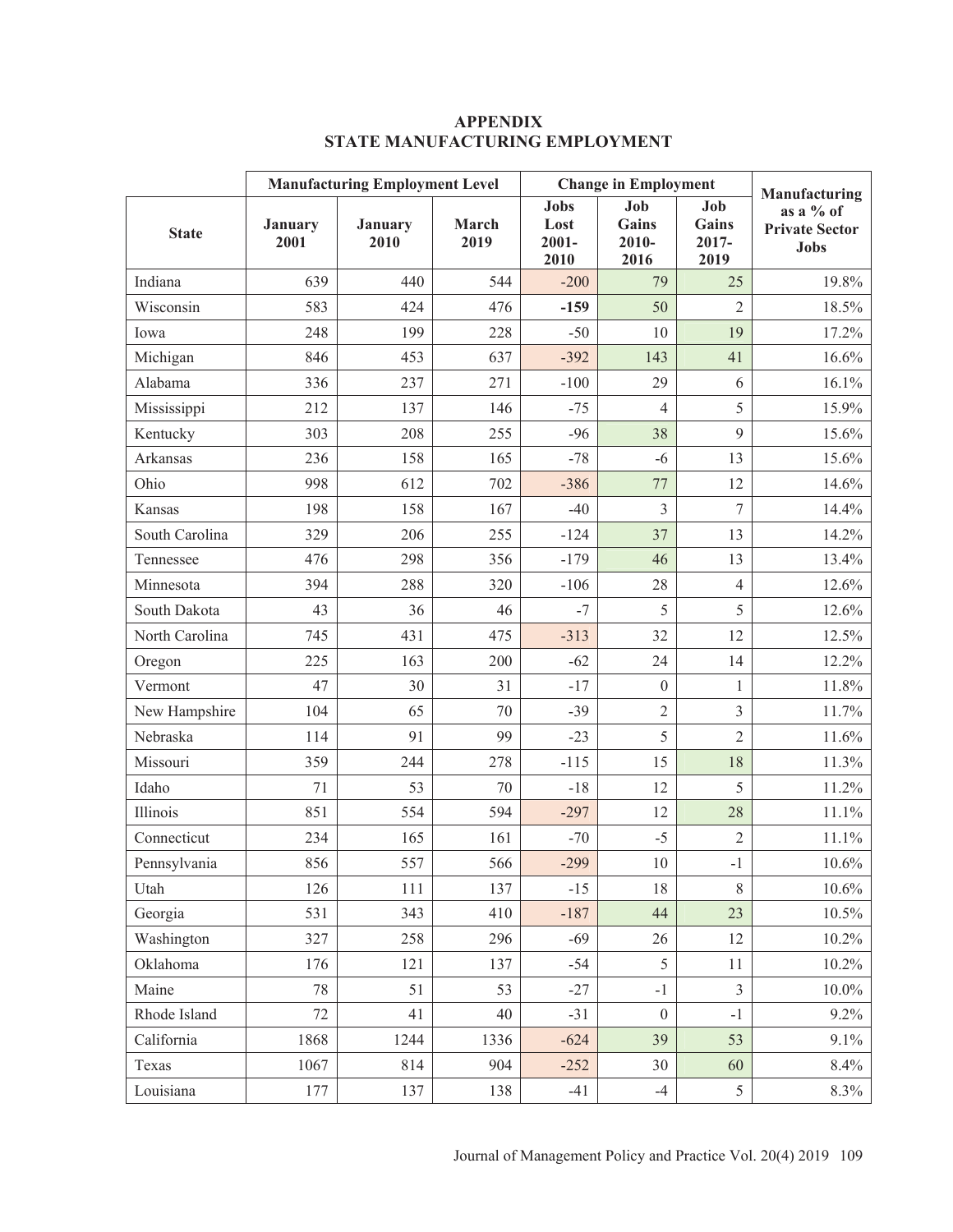|                | <b>Manufacturing Employment Level</b> |                 |               | <b>Change in Employment</b>             |                               |                                  | Manufacturing                                     |
|----------------|---------------------------------------|-----------------|---------------|-----------------------------------------|-------------------------------|----------------------------------|---------------------------------------------------|
| <b>State</b>   | January<br>2001                       | January<br>2010 | March<br>2019 | <b>Jobs</b><br>Lost<br>$2001 -$<br>2010 | Job<br>Gains<br>2010-<br>2016 | Job<br>Gains<br>$2017 -$<br>2019 | as a % of<br><b>Private Sector</b><br><b>Jobs</b> |
| Indiana        | 639                                   | 440             | 544           | $-200$                                  | 79                            | 25                               | 19.8%                                             |
| Wisconsin      | 583                                   | 424             | 476           | $-159$                                  | 50                            | $\overline{2}$                   | 18.5%                                             |
| Iowa           | 248                                   | 199             | 228           | $-50$                                   | 10                            | 19                               | 17.2%                                             |
| Michigan       | 846                                   | 453             | 637           | $-392$                                  | 143                           | 41                               | 16.6%                                             |
| Alabama        | 336                                   | 237             | 271           | $-100$                                  | 29                            | 6                                | 16.1%                                             |
| Mississippi    | 212                                   | 137             | 146           | $-75$                                   | $\overline{4}$                | 5                                | 15.9%                                             |
| Kentucky       | 303                                   | 208             | 255           | $-96$                                   | 38                            | 9                                | 15.6%                                             |
| Arkansas       | 236                                   | 158             | 165           | $-78$                                   | $-6$                          | 13                               | 15.6%                                             |
| Ohio           | 998                                   | 612             | 702           | $-386$                                  | 77                            | 12                               | 14.6%                                             |
| Kansas         | 198                                   | 158             | 167           | $-40$                                   | 3                             | $\overline{7}$                   | 14.4%                                             |
| South Carolina | 329                                   | 206             | 255           | $-124$                                  | 37                            | 13                               | 14.2%                                             |
| Tennessee      | 476                                   | 298             | 356           | $-179$                                  | 46                            | 13                               | 13.4%                                             |
| Minnesota      | 394                                   | 288             | 320           | $-106$                                  | 28                            | $\overline{4}$                   | 12.6%                                             |
| South Dakota   | 43                                    | 36              | 46            | $-7$                                    | 5                             | 5                                | 12.6%                                             |
| North Carolina | 745                                   | 431             | 475           | $-313$                                  | 32                            | 12                               | 12.5%                                             |
| Oregon         | 225                                   | 163             | 200           | $-62$                                   | 24                            | 14                               | 12.2%                                             |
| Vermont        | 47                                    | 30              | 31            | $-17$                                   | $\boldsymbol{0}$              | $\mathbf{1}$                     | 11.8%                                             |
| New Hampshire  | 104                                   | 65              | 70            | $-39$                                   | $\overline{2}$                | 3                                | 11.7%                                             |
| Nebraska       | 114                                   | 91              | 99            | $-23$                                   | 5                             | $\overline{2}$                   | 11.6%                                             |
| Missouri       | 359                                   | 244             | 278           | $-115$                                  | 15                            | 18                               | 11.3%                                             |
| Idaho          | 71                                    | 53              | 70            | $-18$                                   | 12                            | 5                                | 11.2%                                             |
| Illinois       | 851                                   | 554             | 594           | $-297$                                  | 12                            | 28                               | 11.1%                                             |
| Connecticut    | 234                                   | 165             | 161           | $-70$                                   | $-5$                          | $\overline{2}$                   | 11.1%                                             |
| Pennsylvania   | 856                                   | 557             | 566           | $-299$                                  | 10                            | $-1$                             | $10.6\%$                                          |
| Utah           | 126                                   | 111             | 137           | $-15$                                   | 18                            | $8\,$                            | $10.6\%$                                          |
| Georgia        | 531                                   | 343             | 410           | $-187$                                  | 44                            | 23                               | $10.5\%$                                          |
| Washington     | 327                                   | 258             | 296           | $-69$                                   | 26                            | 12                               | $10.2\%$                                          |
| Oklahoma       | 176                                   | 121             | 137           | $-54$                                   | 5                             | 11                               | $10.2\%$                                          |
| Maine          | 78                                    | 51              | 53            | $-27$                                   | $-1$                          | $\overline{3}$                   | $10.0\%$                                          |
| Rhode Island   | 72                                    | 41              | 40            | $-31$                                   | $\boldsymbol{0}$              | $-1$                             | $9.2\%$                                           |
| California     | 1868                                  | 1244            | 1336          | $-624$                                  | 39                            | 53                               | 9.1%                                              |
| Texas          | 1067                                  | 814             | 904           | $-252$                                  | 30                            | 60                               | 8.4%                                              |
| Louisiana      | 177                                   | 137             | 138           | $-41$                                   | $-4$                          | $\mathfrak s$                    | 8.3%                                              |

# **APPENDIX STATE MANUFACTURING EMPLOYMENT**